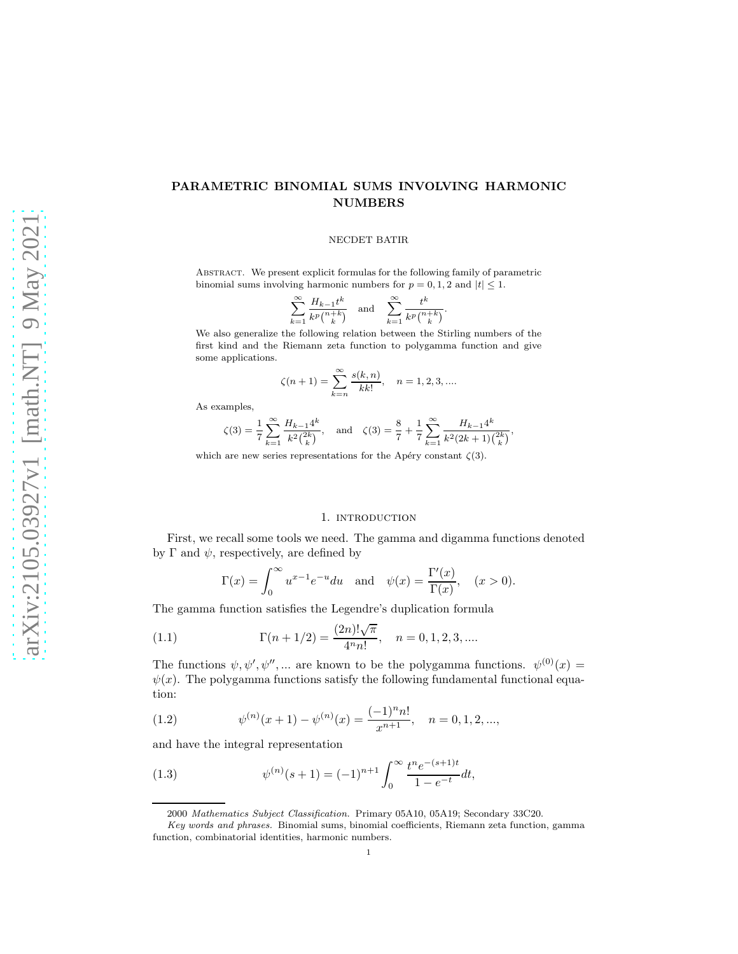# PARAMETRIC BINOMIAL SUMS INVOLVING HARMONIC NUMBERS

# NECDET BATIR

Abstract. We present explicit formulas for the following family of parametric binomial sums involving harmonic numbers for  $p = 0, 1, 2$  and  $|t| \leq 1$ .

$$
\sum_{k=1}^{\infty} \frac{H_{k-1}t^k}{k^p\binom{n+k}{k}} \quad \text{and} \quad \sum_{k=1}^{\infty} \frac{t^k}{k^p\binom{n+k}{k}}.
$$

We also generalize the following relation between the Stirling numbers of the first kind and the Riemann zeta function to polygamma function and give some applications.

$$
\zeta(n+1) = \sum_{k=n}^{\infty} \frac{s(k,n)}{k k!}, \quad n = 1, 2, 3, \dots
$$

As examples,

$$
\zeta(3)=\frac{1}{7}\sum_{k=1}^\infty \frac{H_{k-1}4^k}{k^2\binom{2k}{k}},\quad\text{and}\quad \zeta(3)=\frac{8}{7}+\frac{1}{7}\sum_{k=1}^\infty \frac{H_{k-1}4^k}{k^2(2k+1)\binom{2k}{k}},
$$

which are new series representations for the Apéry constant  $\zeta(3)$ .

# 1. INTRODUCTION

First, we recall some tools we need. The gamma and digamma functions denoted by  $\Gamma$  and  $\psi$ , respectively, are defined by

<span id="page-0-1"></span>
$$
\Gamma(x) = \int_0^\infty u^{x-1} e^{-u} du \quad \text{and} \quad \psi(x) = \frac{\Gamma'(x)}{\Gamma(x)}, \quad (x > 0).
$$

The gamma function satisfies the Legendre's duplication formula

(1.1) 
$$
\Gamma(n+1/2) = \frac{(2n)! \sqrt{\pi}}{4^n n!}, \quad n = 0, 1, 2, 3, ....
$$

The functions  $\psi, \psi', \psi'', ...$  are known to be the polygamma functions.  $\psi^{(0)}(x) =$  $\psi(x)$ . The polygamma functions satisfy the following fundamental functional equation:

(1.2) 
$$
\psi^{(n)}(x+1) - \psi^{(n)}(x) = \frac{(-1)^n n!}{x^{n+1}}, \quad n = 0, 1, 2, ...,
$$

and have the integral representation

(1.3) 
$$
\psi^{(n)}(s+1) = (-1)^{n+1} \int_0^\infty \frac{t^n e^{-(s+1)t}}{1 - e^{-t}} dt,
$$

<span id="page-0-0"></span><sup>2000</sup> Mathematics Subject Classification. Primary 05A10, 05A19; Secondary 33C20.

Key words and phrases. Binomial sums, binomial coefficients, Riemann zeta function, gamma function, combinatorial identities, harmonic numbers.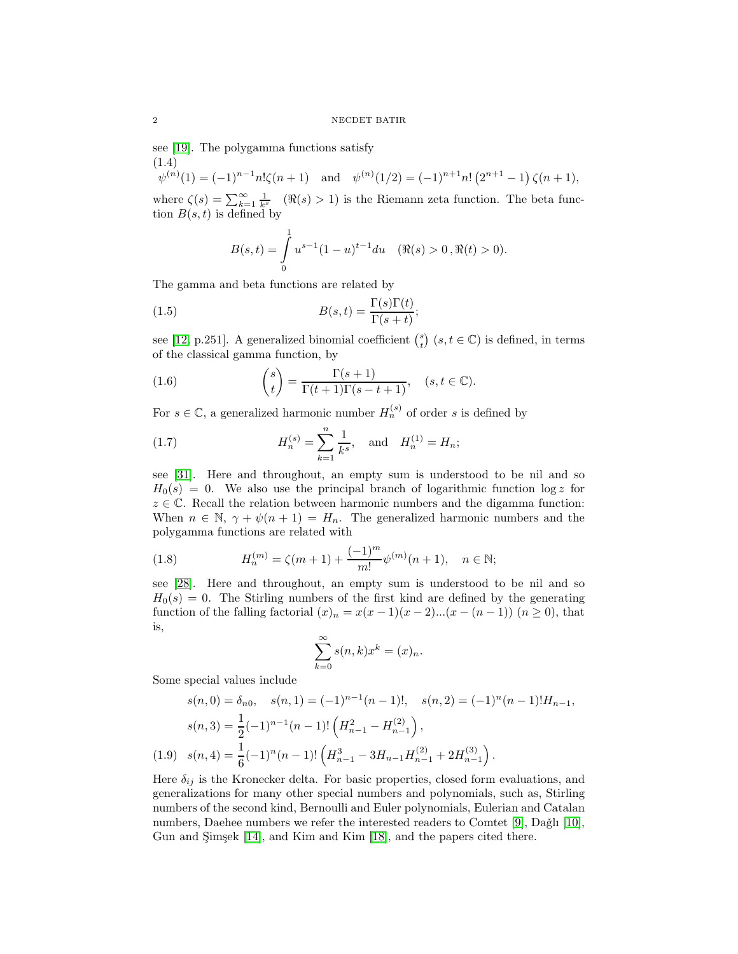see [\[19\]](#page-24-0). The polygamma functions satisfy (1.4)

<span id="page-1-2"></span> $\psi^{(n)}(1) = (-1)^{n-1} n! \zeta(n+1)$  and  $\psi^{(n)}(1/2) = (-1)^{n+1} n! (2^{n+1} - 1) \zeta(n+1),$ where  $\zeta(s) = \sum_{k=1}^{\infty} \frac{1}{k^s}$  ( $\Re(s) > 1$ ) is the Riemann zeta function. The beta function  $B(s,t)$  is defined by

<span id="page-1-0"></span>
$$
B(s,t) = \int_{0}^{1} u^{s-1} (1-u)^{t-1} du \quad (\Re(s) > 0, \Re(t) > 0).
$$

The gamma and beta functions are related by

(1.5) 
$$
B(s,t) = \frac{\Gamma(s)\Gamma(t)}{\Gamma(s+t)};
$$

see [\[12,](#page-24-1) p.251]. A generalized binomial coefficient  $\binom{s}{t}$   $(s, t \in \mathbb{C})$  is defined, in terms of the classical gamma function, by

<span id="page-1-1"></span>(1.6) 
$$
\binom{s}{t} = \frac{\Gamma(s+1)}{\Gamma(t+1)\Gamma(s-t+1)}, \quad (s, t \in \mathbb{C}).
$$

For  $s \in \mathbb{C}$ , a generalized harmonic number  $H_n^{(s)}$  of order s is defined by

(1.7) 
$$
H_n^{(s)} = \sum_{k=1}^n \frac{1}{k^s}, \text{ and } H_n^{(1)} = H_n;
$$

see [\[31\]](#page-24-2). Here and throughout, an empty sum is understood to be nil and so  $H_0(s) = 0$ . We also use the principal branch of logarithmic function  $\log z$  for  $z \in \mathbb{C}$ . Recall the relation between harmonic numbers and the digamma function: When  $n \in \mathbb{N}$ ,  $\gamma + \psi(n+1) = H_n$ . The generalized harmonic numbers and the polygamma functions are related with

(1.8) 
$$
H_n^{(m)} = \zeta(m+1) + \frac{(-1)^m}{m!} \psi^{(m)}(n+1), \quad n \in \mathbb{N};
$$

see [\[28\]](#page-24-3). Here and throughout, an empty sum is understood to be nil and so  $H_0(s) = 0$ . The Stirling numbers of the first kind are defined by the generating function of the falling factorial  $(x)_n = x(x-1)(x-2)...(x-(n-1))$   $(n \ge 0)$ , that is,

$$
\sum_{k=0}^{\infty} s(n,k)x^k = (x)_n.
$$

Some special values include

$$
s(n,0) = \delta_{n0}, \quad s(n,1) = (-1)^{n-1}(n-1)!, \quad s(n,2) = (-1)^{n}(n-1)!H_{n-1},
$$

$$
s(n,3) = \frac{1}{2}(-1)^{n-1}(n-1)!\left(H_{n-1}^{2} - H_{n-1}^{(2)}\right),
$$

$$
(1.9) \quad s(n,4) = \frac{1}{6}(-1)^{n}(n-1)!\left(H_{n-1}^{3} - 3H_{n-1}H_{n-1}^{(2)} + 2H_{n-1}^{(3)}\right).
$$

Here  $\delta_{ij}$  is the Kronecker delta. For basic properties, closed form evaluations, and generalizations for many other special numbers and polynomials, such as, Stirling numbers of the second kind, Bernoulli and Euler polynomials, Eulerian and Catalan numbers, Daehee numbers we refer the interested readers to Comtet  $[9]$ , Dağlı  $[10]$ , Gun and Şimşek [\[14\]](#page-24-6), and Kim and Kim [\[18\]](#page-24-7), and the papers cited there.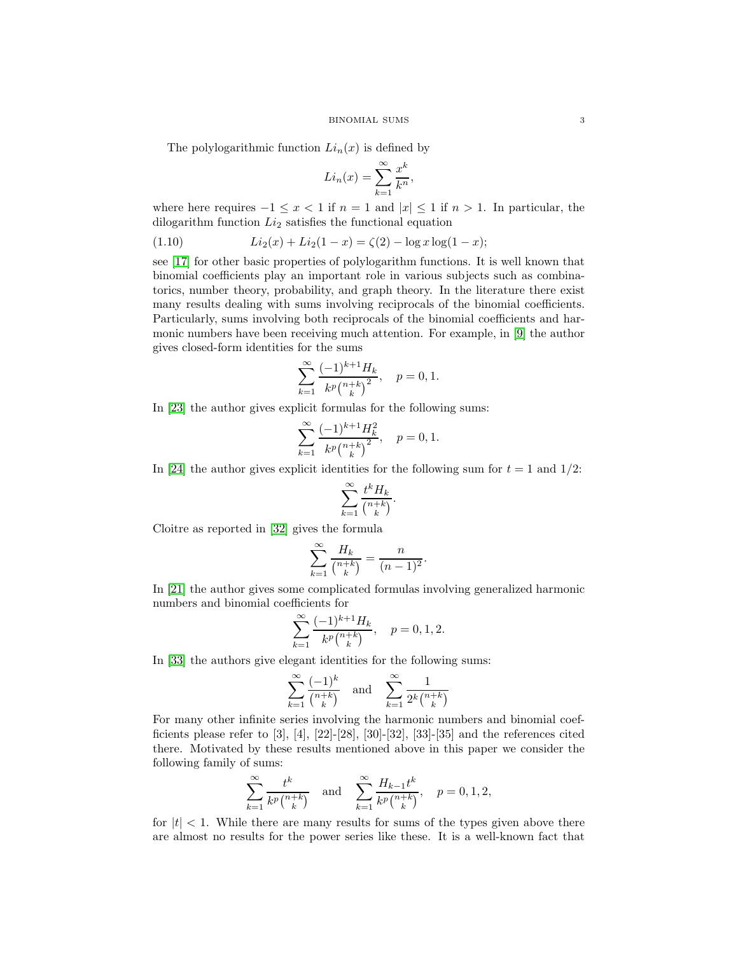The polylogarithmic function  $Li_n(x)$  is defined by

$$
Li_n(x) = \sum_{k=1}^{\infty} \frac{x^k}{k^n},
$$

where here requires  $-1 \leq x < 1$  if  $n = 1$  and  $|x| \leq 1$  if  $n > 1$ . In particular, the dilogarithm function  $Li_2$  satisfies the functional equation

<span id="page-2-0"></span>(1.10) 
$$
Li_2(x) + Li_2(1-x) = \zeta(2) - \log x \log(1-x);
$$

see [\[17\]](#page-24-8) for other basic properties of polylogarithm functions. It is well known that binomial coefficients play an important role in various subjects such as combinatorics, number theory, probability, and graph theory. In the literature there exist many results dealing with sums involving reciprocals of the binomial coefficients. Particularly, sums involving both reciprocals of the binomial coefficients and harmonic numbers have been receiving much attention. For example, in [\[9\]](#page-24-4) the author gives closed-form identities for the sums

$$
\sum_{k=1}^{\infty} \frac{(-1)^{k+1} H_k}{k^p \binom{n+k}{k}^2}, \quad p = 0, 1.
$$

In [\[23\]](#page-24-9) the author gives explicit formulas for the following sums:

$$
\sum_{k=1}^{\infty} \frac{(-1)^{k+1} H_k^2}{k^p \binom{n+k}{k}^2}, \quad p = 0, 1.
$$

In [\[24\]](#page-24-10) the author gives explicit identities for the following sum for  $t = 1$  and  $1/2$ :

$$
\sum_{k=1}^{\infty} \frac{t^k H_k}{\binom{n+k}{k}}.
$$

Cloitre as reported in [\[32\]](#page-25-0) gives the formula

$$
\sum_{k=1}^{\infty} \frac{H_k}{\binom{n+k}{k}} = \frac{n}{(n-1)^2}.
$$

In [\[21\]](#page-24-11) the author gives some complicated formulas involving generalized harmonic numbers and binomial coefficients for

$$
\sum_{k=1}^{\infty} \frac{(-1)^{k+1} H_k}{k^p \binom{n+k}{k}}, \quad p = 0, 1, 2.
$$

In [\[33\]](#page-25-1) the authors give elegant identities for the following sums:

$$
\sum_{k=1}^{\infty} \frac{(-1)^k}{\binom{n+k}{k}} \quad \text{and} \quad \sum_{k=1}^{\infty} \frac{1}{2^k \binom{n+k}{k}}
$$

For many other infinite series involving the harmonic numbers and binomial coefficients please refer to  $[3]$ ,  $[4]$ ,  $[22]$ - $[28]$ ,  $[30]$ - $[32]$ ,  $[33]$ - $[35]$  and the references cited there. Motivated by these results mentioned above in this paper we consider the following family of sums:

$$
\sum_{k=1}^{\infty}\frac{t^k}{k^p\binom{n+k}{k}}\quad\text{and}\quad\sum_{k=1}^{\infty}\frac{H_{k-1}t^k}{k^p\binom{n+k}{k}},\quad p=0,1,2,
$$

for  $|t| < 1$ . While there are many results for sums of the types given above there are almost no results for the power series like these. It is a well-known fact that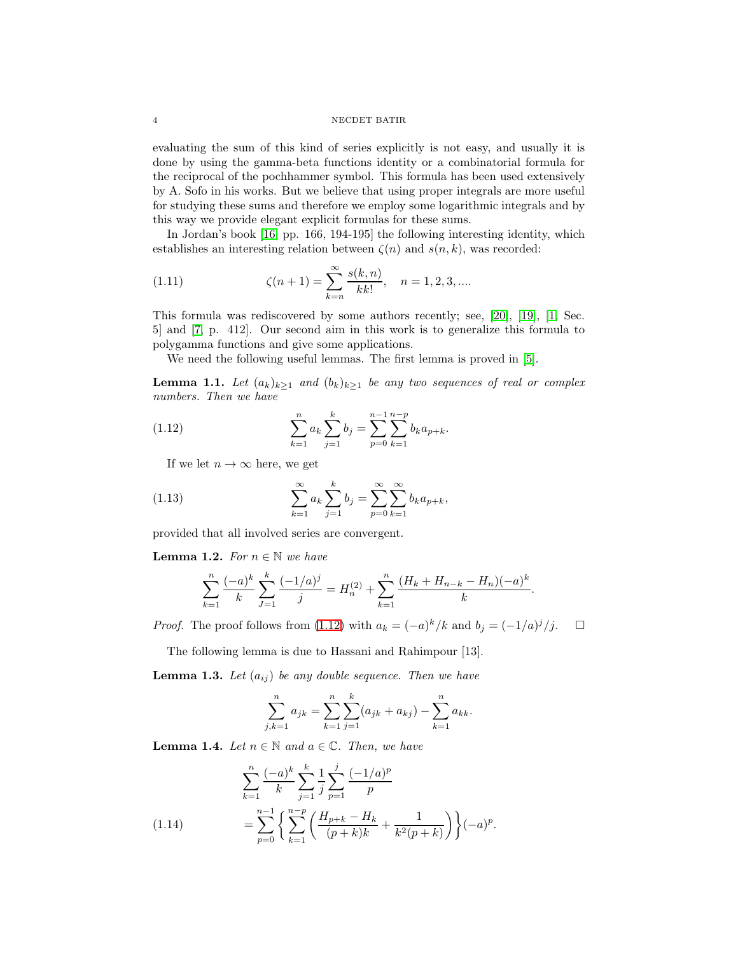### 4 NECDET BATIR

evaluating the sum of this kind of series explicitly is not easy, and usually it is done by using the gamma-beta functions identity or a combinatorial formula for the reciprocal of the pochhammer symbol. This formula has been used extensively by A. Sofo in his works. But we believe that using proper integrals are more useful for studying these sums and therefore we employ some logarithmic integrals and by this way we provide elegant explicit formulas for these sums.

In Jordan's book [\[16,](#page-24-12) pp. 166, 194-195] the following interesting identity, which establishes an interesting relation between  $\zeta(n)$  and  $s(n, k)$ , was recorded:

<span id="page-3-3"></span>(1.11) 
$$
\zeta(n+1) = \sum_{k=n}^{\infty} \frac{s(k,n)}{kk!}, \quad n = 1, 2, 3, ....
$$

This formula was rediscovered by some authors recently; see, [\[20\]](#page-24-13), [\[19\]](#page-24-0), [\[1,](#page-24-14) Sec. 5] and [\[7,](#page-24-15) p. 412]. Our second aim in this work is to generalize this formula to polygamma functions and give some applications.

We need the following useful lemmas. The first lemma is proved in [\[5\]](#page-24-16).

**Lemma 1.1.** Let  $(a_k)_{k\geq 1}$  and  $(b_k)_{k\geq 1}$  be any two sequences of real or complex numbers. Then we have

(1.12) 
$$
\sum_{k=1}^{n} a_k \sum_{j=1}^{k} b_j = \sum_{p=0}^{n-1} \sum_{k=1}^{n-p} b_k a_{p+k}.
$$

<span id="page-3-0"></span>If we let  $n \to \infty$  here, we get

(1.13) 
$$
\sum_{k=1}^{\infty} a_k \sum_{j=1}^{k} b_j = \sum_{p=0}^{\infty} \sum_{k=1}^{\infty} b_k a_{p+k},
$$

provided that all involved series are convergent.

**Lemma 1.2.** For  $n \in \mathbb{N}$  we have

<span id="page-3-2"></span>
$$
\sum_{k=1}^{n} \frac{(-a)^k}{k} \sum_{j=1}^{k} \frac{(-1/a)^j}{j} = H_n^{(2)} + \sum_{k=1}^{n} \frac{(H_k + H_{n-k} - H_n)(-a)^k}{k}.
$$

*Proof.* The proof follows from [\(1.12\)](#page-3-0) with  $a_k = (-a)^k / k$  and  $b_j = (-1/a)^j / j$ .  $\Box$ 

The following lemma is due to Hassani and Rahimpour [13].

**Lemma 1.3.** Let  $(a_{ij})$  be any double sequence. Then we have

$$
\sum_{j,k=1}^{n} a_{jk} = \sum_{k=1}^{n} \sum_{j=1}^{k} (a_{jk} + a_{kj}) - \sum_{k=1}^{n} a_{kk}.
$$

**Lemma 1.4.** Let  $n \in \mathbb{N}$  and  $a \in \mathbb{C}$ . Then, we have

<span id="page-3-1"></span>
$$
\sum_{k=1}^{n} \frac{(-a)^k}{k} \sum_{j=1}^{k} \frac{1}{j} \sum_{p=1}^{j} \frac{(-1/a)^p}{p}
$$
\n
$$
= \sum_{p=0}^{n-1} \left\{ \sum_{k=1}^{n-p} \left( \frac{H_{p+k} - H_k}{(p+k)k} + \frac{1}{k^2(p+k)} \right) \right\} (-a)^p.
$$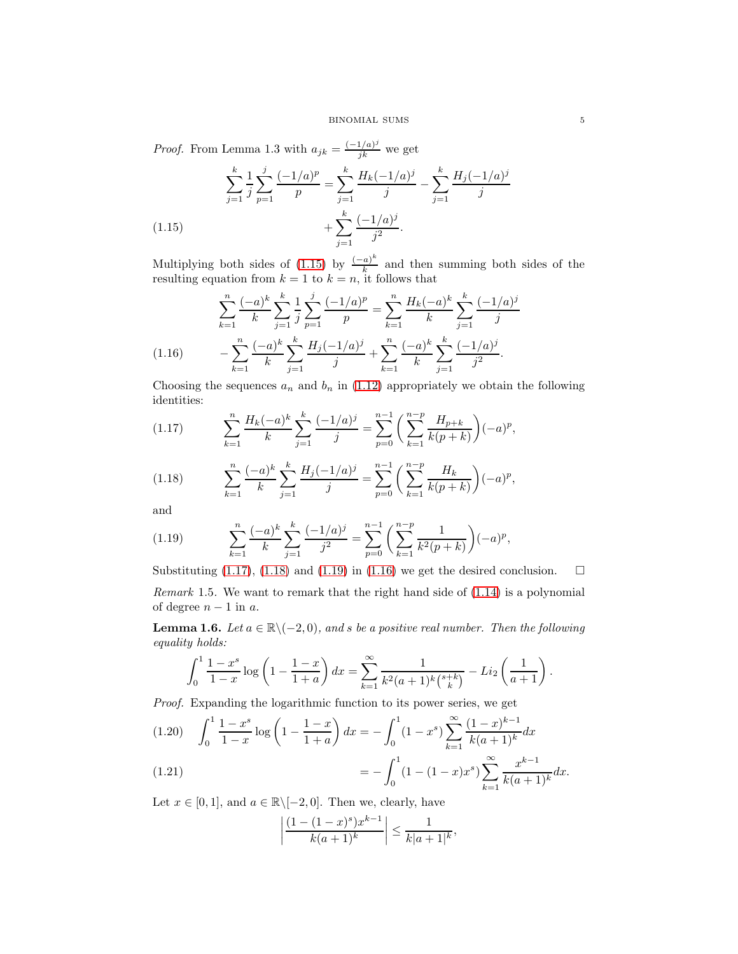*Proof.* From Lemma 1.3 with  $a_{jk} = \frac{(-1/a)^j}{jk}$  we get

$$
\sum_{j=1}^{k} \frac{1}{j} \sum_{p=1}^{j} \frac{(-1/a)^p}{p} = \sum_{j=1}^{k} \frac{H_k(-1/a)^j}{j} - \sum_{j=1}^{k} \frac{H_j(-1/a)^j}{j}
$$
\n
$$
+ \sum_{j=1}^{k} \frac{(-1/a)^j}{j^2}.
$$
\n(1.15)

<span id="page-4-0"></span>Multiplying both sides of [\(1.15\)](#page-4-0) by  $\frac{(-a)^k}{k}$  $\frac{a_1}{k}$  and then summing both sides of the resulting equation from  $k = 1$  to  $k = n$ , it follows that

$$
\sum_{k=1}^{n} \frac{(-a)^k}{k} \sum_{j=1}^{k} \frac{1}{j} \sum_{p=1}^{j} \frac{(-1/a)^p}{p} = \sum_{k=1}^{n} \frac{H_k(-a)^k}{k} \sum_{j=1}^{k} \frac{(-1/a)^j}{j}
$$
\n
$$
(1.16) \qquad -\sum_{k=1}^{n} \frac{(-a)^k}{k} \sum_{j=1}^{k} \frac{H_j(-1/a)^j}{j} + \sum_{k=1}^{n} \frac{(-a)^k}{k} \sum_{j=1}^{k} \frac{(-1/a)^j}{j^2}.
$$

<span id="page-4-4"></span>Choosing the sequences  $a_n$  and  $b_n$  in [\(1.12\)](#page-3-0) appropriately we obtain the following identities:

<span id="page-4-1"></span>
$$
(1.17) \qquad \sum_{k=1}^{n} \frac{H_k(-a)^k}{k} \sum_{j=1}^{k} \frac{(-1/a)^j}{j} = \sum_{p=0}^{n-1} \left( \sum_{k=1}^{n-p} \frac{H_{p+k}}{k(p+k)} \right) (-a)^p,
$$

<span id="page-4-2"></span>(1.18) 
$$
\sum_{k=1}^{n} \frac{(-a)^k}{k} \sum_{j=1}^{k} \frac{H_j(-1/a)^j}{j} = \sum_{p=0}^{n-1} \left(\sum_{k=1}^{n-p} \frac{H_k}{k(p+k)}\right) (-a)^p,
$$

and

<span id="page-4-3"></span>(1.19) 
$$
\sum_{k=1}^{n} \frac{(-a)^k}{k} \sum_{j=1}^{k} \frac{(-1/a)^j}{j^2} = \sum_{p=0}^{n-1} \left( \sum_{k=1}^{n-p} \frac{1}{k^2(p+k)} \right) (-a)^p,
$$

Substituting [\(1.17\)](#page-4-1), [\(1.18\)](#page-4-2) and [\(1.19\)](#page-4-3) in [\(1.16\)](#page-4-4) we get the desired conclusion.  $\square$ Remark 1.5. We want to remark that the right hand side of  $(1.14)$  is a polynomial of degree  $n-1$  in a.

**Lemma 1.6.** Let  $a \in \mathbb{R} \setminus (-2, 0)$ , and s be a positive real number. Then the following equality holds:

$$
\int_0^1 \frac{1-x^s}{1-x} \log\left(1-\frac{1-x}{1+a}\right) dx = \sum_{k=1}^\infty \frac{1}{k^2(a+1)^k {s+k \choose k}} - Li_2\left(\frac{1}{a+1}\right).
$$

Proof. Expanding the logarithmic function to its power series, we get

<span id="page-4-5"></span>
$$
(1.20) \quad \int_0^1 \frac{1-x^s}{1-x} \log\left(1-\frac{1-x}{1+a}\right) dx = -\int_0^1 (1-x^s) \sum_{k=1}^\infty \frac{(1-x)^{k-1}}{k(a+1)^k} dx
$$

(1.21) 
$$
= -\int_0^1 (1 - (1 - x)x^s) \sum_{k=1}^\infty \frac{x^{k-1}}{k(a+1)^k} dx.
$$

Let  $x \in [0, 1]$ , and  $a \in \mathbb{R} \setminus [-2, 0]$ . Then we, clearly, have

$$
\left|\frac{(1-(1-x)^s)x^{k-1}}{k(a+1)^k}\right| \le \frac{1}{k|a+1|^k},
$$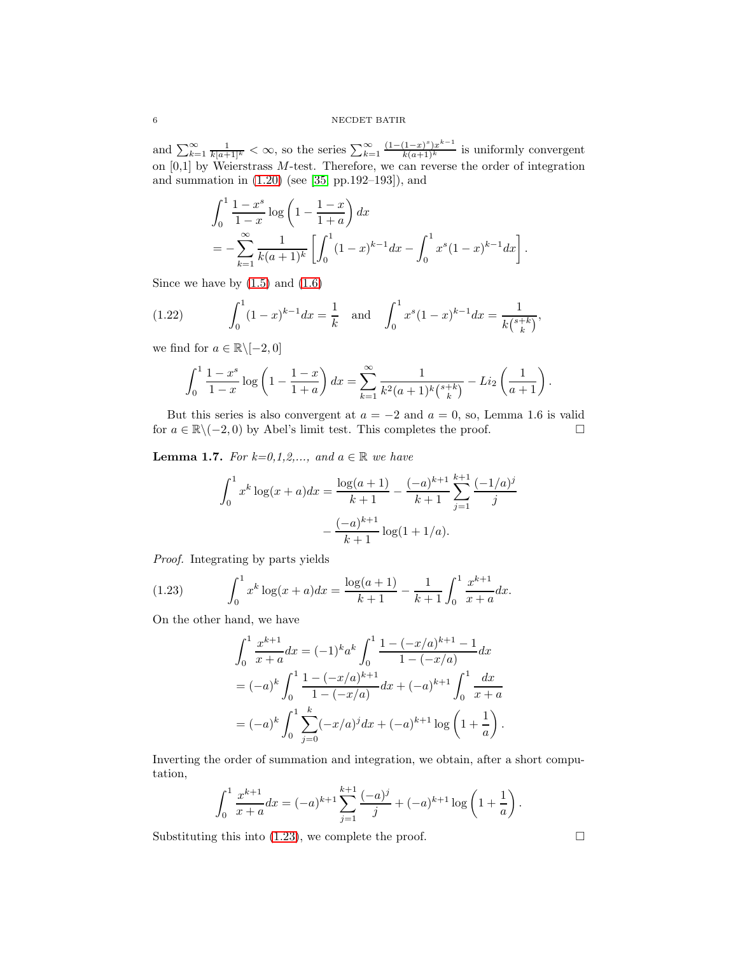and  $\sum_{k=1}^{\infty} \frac{1}{k[a+1]^k} < \infty$ , so the series  $\sum_{k=1}^{\infty} \frac{(1-(1-x)^s)x^{k-1}}{k(a+1)^k}$  is uniformly convergent on  $[0,1]$  by Weierstrass M-test. Therefore, we can reverse the order of integration and summation in [\(1.20\)](#page-4-5) (see [\[35,](#page-25-2) pp.192–193]), and

$$
\int_0^1 \frac{1-x^s}{1-x} \log\left(1 - \frac{1-x}{1+a}\right) dx
$$
  
= 
$$
-\sum_{k=1}^\infty \frac{1}{k(a+1)^k} \left[ \int_0^1 (1-x)^{k-1} dx - \int_0^1 x^s (1-x)^{k-1} dx \right].
$$

Since we have by  $(1.5)$  and  $(1.6)$ 

(1.22) 
$$
\int_0^1 (1-x)^{k-1} dx = \frac{1}{k} \text{ and } \int_0^1 x^s (1-x)^{k-1} dx = \frac{1}{k {s+k \choose k}},
$$

we find for  $a \in \mathbb{R} \setminus [-2, 0]$ 

<span id="page-5-1"></span>
$$
\int_0^1 \frac{1-x^s}{1-x} \log\left(1-\frac{1-x}{1+a}\right) dx = \sum_{k=1}^\infty \frac{1}{k^2(a+1)^k {s+k \choose k}} - Li_2\left(\frac{1}{a+1}\right).
$$

But this series is also convergent at  $a = -2$  and  $a = 0$ , so, Lemma 1.6 is valid  $a \in \mathbb{R} \setminus (-2, 0)$  by Abel's limit test. This completes the proof. for  $a \in \mathbb{R} \setminus (-2, 0)$  by Abel's limit test. This completes the proof.

**Lemma 1.7.** For  $k=0,1,2,...,$  and  $a \in \mathbb{R}$  we have

$$
\int_0^1 x^k \log(x+a) dx = \frac{\log(a+1)}{k+1} - \frac{(-a)^{k+1}}{k+1} \sum_{j=1}^{k+1} \frac{(-1/a)^j}{j}
$$

$$
- \frac{(-a)^{k+1}}{k+1} \log(1+1/a).
$$

Proof. Integrating by parts yields

(1.23) 
$$
\int_0^1 x^k \log(x+a) dx = \frac{\log(a+1)}{k+1} - \frac{1}{k+1} \int_0^1 \frac{x^{k+1}}{x+a} dx.
$$

On the other hand, we have

<span id="page-5-0"></span>
$$
\int_0^1 \frac{x^{k+1}}{x+a} dx = (-1)^k a^k \int_0^1 \frac{1 - (-x/a)^{k+1} - 1}{1 - (-x/a)} dx
$$
  
=  $(-a)^k \int_0^1 \frac{1 - (-x/a)^{k+1}}{1 - (-x/a)} dx + (-a)^{k+1} \int_0^1 \frac{dx}{x+a}$   
=  $(-a)^k \int_0^1 \sum_{j=0}^k (-x/a)^j dx + (-a)^{k+1} \log \left(1 + \frac{1}{a}\right).$ 

Inverting the order of summation and integration, we obtain, after a short computation,

$$
\int_0^1 \frac{x^{k+1}}{x+a} dx = (-a)^{k+1} \sum_{j=1}^{k+1} \frac{(-a)^j}{j} + (-a)^{k+1} \log\left(1 + \frac{1}{a}\right).
$$

Substituting this into [\(1.23\)](#page-5-0), we complete the proof.  $\Box$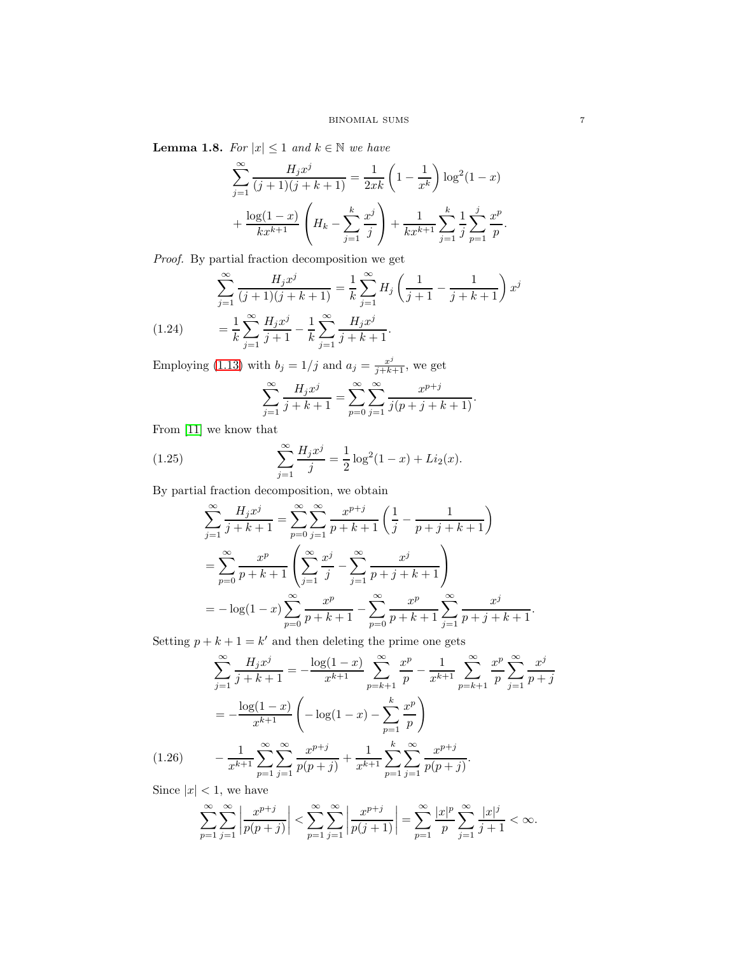**Lemma 1.8.** For  $|x| \leq 1$  and  $k \in \mathbb{N}$  we have

$$
\sum_{j=1}^{\infty} \frac{H_j x^j}{(j+1)(j+k+1)} = \frac{1}{2xk} \left(1 - \frac{1}{x^k}\right) \log^2(1-x) + \frac{\log(1-x)}{kx^{k+1}} \left(H_k - \sum_{j=1}^k \frac{x^j}{j}\right) + \frac{1}{kx^{k+1}} \sum_{j=1}^k \frac{1}{j} \sum_{p=1}^j \frac{x^p}{p}
$$

Proof. By partial fraction decomposition we get

$$
\sum_{j=1}^{\infty} \frac{H_j x^j}{(j+1)(j+k+1)} = \frac{1}{k} \sum_{j=1}^{\infty} H_j \left( \frac{1}{j+1} - \frac{1}{j+k+1} \right) x^j
$$
  
1  $\sum_{j=1}^{\infty} H_j x^j$  1  $\sum_{j=1}^{\infty} H_j x^j$ 

<span id="page-6-2"></span>(1.24) 
$$
= \frac{1}{k} \sum_{j=1}^{\infty} \frac{H_j x^j}{j+1} - \frac{1}{k} \sum_{j=1}^{\infty} \frac{H_j x^j}{j+k+1}.
$$

Employing [\(1.13\)](#page-3-2) with  $b_j = 1/j$  and  $a_j = \frac{x^j}{j+k+1}$ , we get

<span id="page-6-1"></span>
$$
\sum_{j=1}^{\infty} \frac{H_j x^j}{j+k+1} = \sum_{p=0}^{\infty} \sum_{j=1}^{\infty} \frac{x^{p+j}}{j(p+j+k+1)}.
$$

From [\[11\]](#page-24-17) we know that

(1.25) 
$$
\sum_{j=1}^{\infty} \frac{H_j x^j}{j} = \frac{1}{2} \log^2(1-x) + Li_2(x).
$$

By partial fraction decomposition, we obtain

$$
\sum_{j=1}^{\infty} \frac{H_j x^j}{j+k+1} = \sum_{p=0}^{\infty} \sum_{j=1}^{\infty} \frac{x^{p+j}}{p+k+1} \left( \frac{1}{j} - \frac{1}{p+j+k+1} \right)
$$
  
= 
$$
\sum_{p=0}^{\infty} \frac{x^p}{p+k+1} \left( \sum_{j=1}^{\infty} \frac{x^j}{j} - \sum_{j=1}^{\infty} \frac{x^j}{p+j+k+1} \right)
$$
  
= 
$$
-\log(1-x) \sum_{p=0}^{\infty} \frac{x^p}{p+k+1} - \sum_{p=0}^{\infty} \frac{x^p}{p+k+1} \sum_{j=1}^{\infty} \frac{x^j}{p+j+k+1}.
$$

Setting  $p + k + 1 = k'$  and then deleting the prime one gets

$$
\sum_{j=1}^{\infty} \frac{H_j x^j}{j+k+1} = -\frac{\log(1-x)}{x^{k+1}} \sum_{p=k+1}^{\infty} \frac{x^p}{p} - \frac{1}{x^{k+1}} \sum_{p=k+1}^{\infty} \frac{x^p}{p} \sum_{j=1}^{\infty} \frac{x^j}{p+j}
$$

$$
= -\frac{\log(1-x)}{x^{k+1}} \left( -\log(1-x) - \sum_{p=1}^k \frac{x^p}{p} \right)
$$

$$
(1.26) \qquad -\frac{1}{x^{k+1}} \sum_{p=1}^{\infty} \sum_{j=1}^{\infty} \frac{x^{p+j}}{p(p+j)} + \frac{1}{x^{k+1}} \sum_{p=1}^k \sum_{j=1}^{\infty} \frac{x^{p+j}}{p(p+j)}.
$$

<span id="page-6-0"></span>Since  $|x| < 1$ , we have

$$
\sum_{p=1}^{\infty} \sum_{j=1}^{\infty} \left| \frac{x^{p+j}}{p(p+j)} \right| < \sum_{p=1}^{\infty} \sum_{j=1}^{\infty} \left| \frac{x^{p+j}}{p(j+1)} \right| = \sum_{p=1}^{\infty} \frac{|x|^p}{p} \sum_{j=1}^{\infty} \frac{|x|^j}{j+1} < \infty.
$$

.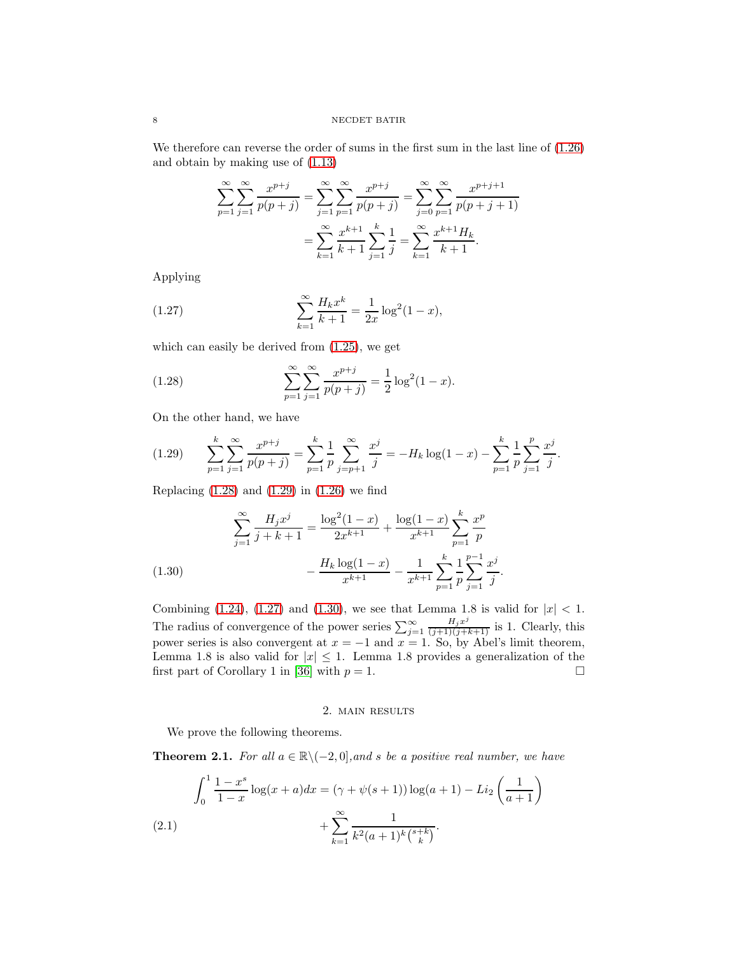We therefore can reverse the order of sums in the first sum in the last line of [\(1.26\)](#page-6-0) and obtain by making use of [\(1.13\)](#page-3-2)

$$
\sum_{p=1}^{\infty} \sum_{j=1}^{\infty} \frac{x^{p+j}}{p(p+j)} = \sum_{j=1}^{\infty} \sum_{p=1}^{\infty} \frac{x^{p+j}}{p(p+j)} = \sum_{j=0}^{\infty} \sum_{p=1}^{\infty} \frac{x^{p+j+1}}{p(p+j+1)}
$$

$$
= \sum_{k=1}^{\infty} \frac{x^{k+1}}{k+1} \sum_{j=1}^{k} \frac{1}{j} = \sum_{k=1}^{\infty} \frac{x^{k+1} H_k}{k+1}.
$$

Applying

<span id="page-7-2"></span>(1.27) 
$$
\sum_{k=1}^{\infty} \frac{H_k x^k}{k+1} = \frac{1}{2x} \log^2(1-x),
$$

which can easily be derived from [\(1.25\)](#page-6-1), we get

<span id="page-7-0"></span>(1.28) 
$$
\sum_{p=1}^{\infty} \sum_{j=1}^{\infty} \frac{x^{p+j}}{p(p+j)} = \frac{1}{2} \log^2(1-x).
$$

On the other hand, we have

<span id="page-7-1"></span>
$$
(1.29) \qquad \sum_{p=1}^{k} \sum_{j=1}^{\infty} \frac{x^{p+j}}{p(p+j)} = \sum_{p=1}^{k} \frac{1}{p} \sum_{j=p+1}^{\infty} \frac{x^j}{j} = -H_k \log(1-x) - \sum_{p=1}^{k} \frac{1}{p} \sum_{j=1}^{p} \frac{x^j}{j}.
$$

Replacing  $(1.28)$  and  $(1.29)$  in  $(1.26)$  we find

(1.30)  
\n
$$
\sum_{j=1}^{\infty} \frac{H_j x^j}{j+k+1} = \frac{\log^2(1-x)}{2x^{k+1}} + \frac{\log(1-x)}{x^{k+1}} \sum_{p=1}^k \frac{x^p}{p}
$$
\n
$$
-\frac{H_k \log(1-x)}{x^{k+1}} - \frac{1}{x^{k+1}} \sum_{p=1}^k \frac{1}{p} \sum_{j=1}^{p-1} \frac{x^j}{j}.
$$

<span id="page-7-3"></span>Combining [\(1.24\)](#page-6-2), [\(1.27\)](#page-7-2) and [\(1.30\)](#page-7-3), we see that Lemma 1.8 is valid for  $|x| < 1$ . The radius of convergence of the power series  $\sum_{j=1}^{\infty} \frac{H_j x^j}{(j+1)(j+k+1)}$  is 1. Clearly, this power series is also convergent at  $x = -1$  and  $x = 1$ . So, by Abel's limit theorem, Lemma 1.8 is also valid for  $|x| \leq 1$ . Lemma 1.8 provides a generalization of the first part of Corollary 1 in [36] with  $p = 1$ . first part of Corollary 1 in [\[36\]](#page-25-3) with  $p = 1$ .

## 2. main results

We prove the following theorems.

**Theorem 2.1.** For all  $a \in \mathbb{R} \setminus (-2, 0]$ , and s be a positive real number, we have

<span id="page-7-4"></span>(2.1) 
$$
\int_0^1 \frac{1 - x^s}{1 - x} \log(x + a) dx = (\gamma + \psi(s + 1)) \log(a + 1) - Li_2\left(\frac{1}{a + 1}\right) + \sum_{k=1}^{\infty} \frac{1}{k^2(a + 1)^k {s + k \choose k}}.
$$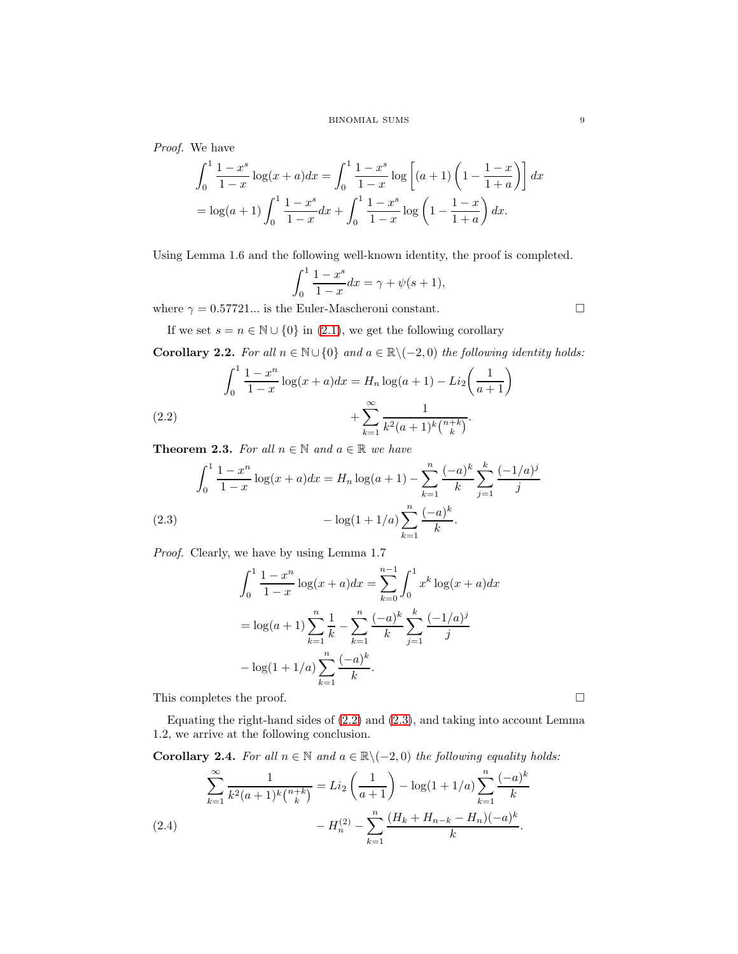Proof. We have

$$
\int_0^1 \frac{1-x^s}{1-x} \log(x+a) dx = \int_0^1 \frac{1-x^s}{1-x} \log\left[ (a+1) \left( 1 - \frac{1-x}{1+a} \right) \right] dx
$$
  
=  $\log(a+1) \int_0^1 \frac{1-x^s}{1-x} dx + \int_0^1 \frac{1-x^s}{1-x} \log\left( 1 - \frac{1-x}{1+a} \right) dx.$ 

Using Lemma 1.6 and the following well-known identity, the proof is completed.

$$
\int_0^1 \frac{1 - x^s}{1 - x} dx = \gamma + \psi(s + 1),
$$

where  $\gamma = 0.57721...$  is the Euler-Mascheroni constant.

If we set  $s = n \in \mathbb{N} \cup \{0\}$  in [\(2.1\)](#page-7-4), we get the following corollary

Corollary 2.2. For all  $n \in \mathbb{N} \cup \{0\}$  and  $a \in \mathbb{R} \setminus (-2, 0)$  the following identity holds:

(2.2) 
$$
\int_0^1 \frac{1-x^n}{1-x} \log(x+a) dx = H_n \log(a+1) - Li_2\left(\frac{1}{a+1}\right) + \sum_{k=1}^\infty \frac{1}{k^2(a+1)^k {n+k \choose k}}.
$$

<span id="page-8-0"></span>**Theorem 2.3.** For all  $n \in \mathbb{N}$  and  $a \in \mathbb{R}$  we have

$$
\int_0^1 \frac{1 - x^n}{1 - x} \log(x + a) dx = H_n \log(a + 1) - \sum_{k=1}^n \frac{(-a)^k}{k} \sum_{j=1}^k \frac{(-1/a)^j}{j}
$$
  
(2.3) 
$$
- \log(1 + 1/a) \sum_{k=1}^n \frac{(-a)^k}{k}.
$$

<span id="page-8-1"></span>Proof. Clearly, we have by using Lemma 1.7

$$
\int_0^1 \frac{1 - x^n}{1 - x} \log(x + a) dx = \sum_{k=0}^{n-1} \int_0^1 x^k \log(x + a) dx
$$

$$
= \log(a + 1) \sum_{k=1}^n \frac{1}{k} - \sum_{k=1}^n \frac{(-a)^k}{k} \sum_{j=1}^k \frac{(-1/a)^j}{j}
$$

$$
- \log(1 + 1/a) \sum_{k=1}^n \frac{(-a)^k}{k}.
$$

This completes the proof.

Equating the right-hand sides of [\(2.2\)](#page-8-0) and [\(2.3\)](#page-8-1), and taking into account Lemma 1.2, we arrive at the following conclusion.

Corollary 2.4. For all  $n \in \mathbb{N}$  and  $a \in \mathbb{R} \setminus (-2, 0)$  the following equality holds:

<span id="page-8-2"></span>
$$
\sum_{k=1}^{\infty} \frac{1}{k^2 (a+1)^k {n+k \choose k}} = Li_2 \left(\frac{1}{a+1}\right) - \log(1+1/a) \sum_{k=1}^n \frac{(-a)^k}{k}
$$
\n
$$
= H_n^{(2)} - \sum_{k=1}^n \frac{(H_k + H_{n-k} - H_n)(-a)^k}{k}.
$$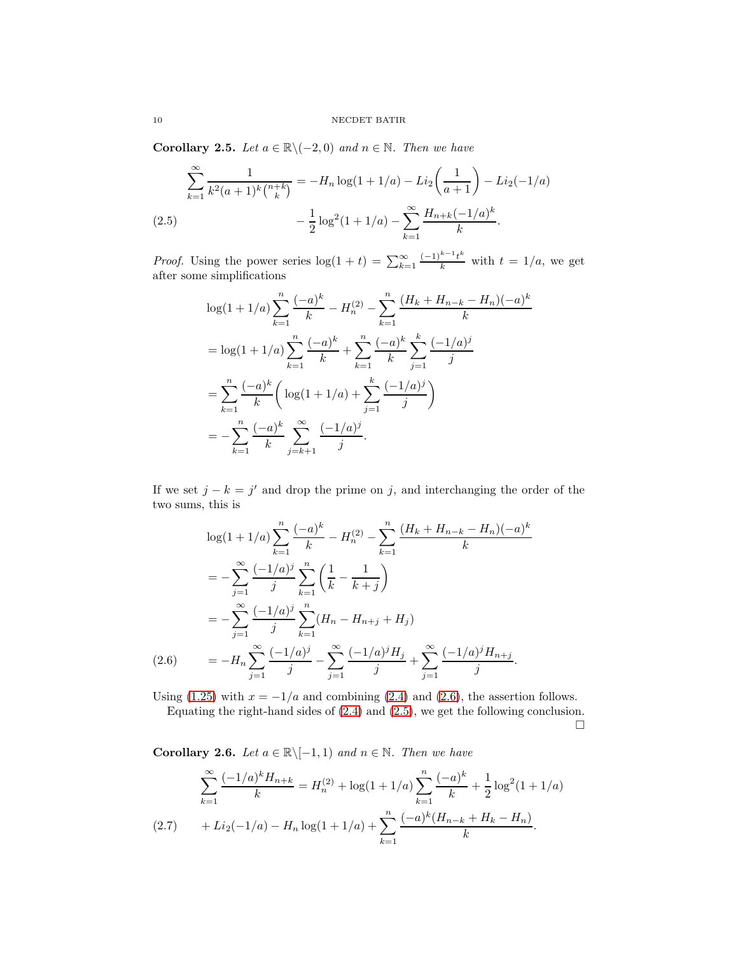Corollary 2.5. Let  $a \in \mathbb{R} \setminus (-2, 0)$  and  $n \in \mathbb{N}$ . Then we have

$$
\sum_{k=1}^{\infty} \frac{1}{k^2 (a+1)^k {n+k \choose k}} = -H_n \log(1+1/a) - Li_2\left(\frac{1}{a+1}\right) - Li_2(-1/a)
$$
  
(2.5) 
$$
-\frac{1}{2} \log^2(1+1/a) - \sum_{k=1}^{\infty} \frac{H_{n+k}(-1/a)^k}{k}.
$$

<span id="page-9-1"></span>*Proof.* Using the power series  $\log(1 + t) = \sum_{k=1}^{\infty} \frac{(-1)^{k-1}t^k}{k}$  with  $t = 1/a$ , we get after some simplifications

$$
\log(1 + 1/a) \sum_{k=1}^{n} \frac{(-a)^k}{k} - H_n^{(2)} - \sum_{k=1}^{n} \frac{(H_k + H_{n-k} - H_n)(-a)^k}{k}
$$
  
= 
$$
\log(1 + 1/a) \sum_{k=1}^{n} \frac{(-a)^k}{k} + \sum_{k=1}^{n} \frac{(-a)^k}{k} \sum_{j=1}^{k} \frac{(-1/a)^j}{j}
$$
  
= 
$$
\sum_{k=1}^{n} \frac{(-a)^k}{k} \left( \log(1 + 1/a) + \sum_{j=1}^{k} \frac{(-1/a)^j}{j} \right)
$$
  
= 
$$
-\sum_{k=1}^{n} \frac{(-a)^k}{k} \sum_{j=k+1}^{\infty} \frac{(-1/a)^j}{j}.
$$

If we set  $j - k = j'$  and drop the prime on j, and interchanging the order of the two sums, this is

$$
\log(1+1/a) \sum_{k=1}^{n} \frac{(-a)^k}{k} - H_n^{(2)} - \sum_{k=1}^{n} \frac{(H_k + H_{n-k} - H_n)(-a)^k}{k}
$$
  

$$
= -\sum_{j=1}^{\infty} \frac{(-1/a)^j}{j} \sum_{k=1}^{n} \left(\frac{1}{k} - \frac{1}{k+j}\right)
$$
  

$$
= -\sum_{j=1}^{\infty} \frac{(-1/a)^j}{j} \sum_{k=1}^{n} (H_n - H_{n+j} + H_j)
$$
  

$$
(2.6) \qquad = -H_n \sum_{j=1}^{\infty} \frac{(-1/a)^j}{j} - \sum_{j=1}^{\infty} \frac{(-1/a)^j H_j}{j} + \sum_{j=1}^{\infty} \frac{(-1/a)^j H_{n+j}}{j}.
$$

<span id="page-9-0"></span>Using [\(1.25\)](#page-6-1) with  $x = -1/a$  and combining [\(2.4\)](#page-8-2) and [\(2.6\)](#page-9-0), the assertion follows. Equating the right-hand sides of [\(2.4\)](#page-8-2) and [\(2.5\)](#page-9-1), we get the following conclusion.

 $\Box$ 

Corollary 2.6. Let  $a \in \mathbb{R} \setminus [-1, 1)$  and  $n \in \mathbb{N}$ . Then we have

$$
\sum_{k=1}^{\infty} \frac{(-1/a)^k H_{n+k}}{k} = H_n^{(2)} + \log(1+1/a) \sum_{k=1}^n \frac{(-a)^k}{k} + \frac{1}{2} \log^2(1+1/a)
$$
  
(2.7) 
$$
+ Li_2(-1/a) - H_n \log(1+1/a) + \sum_{k=1}^n \frac{(-a)^k (H_{n-k} + H_k - H_n)}{k}.
$$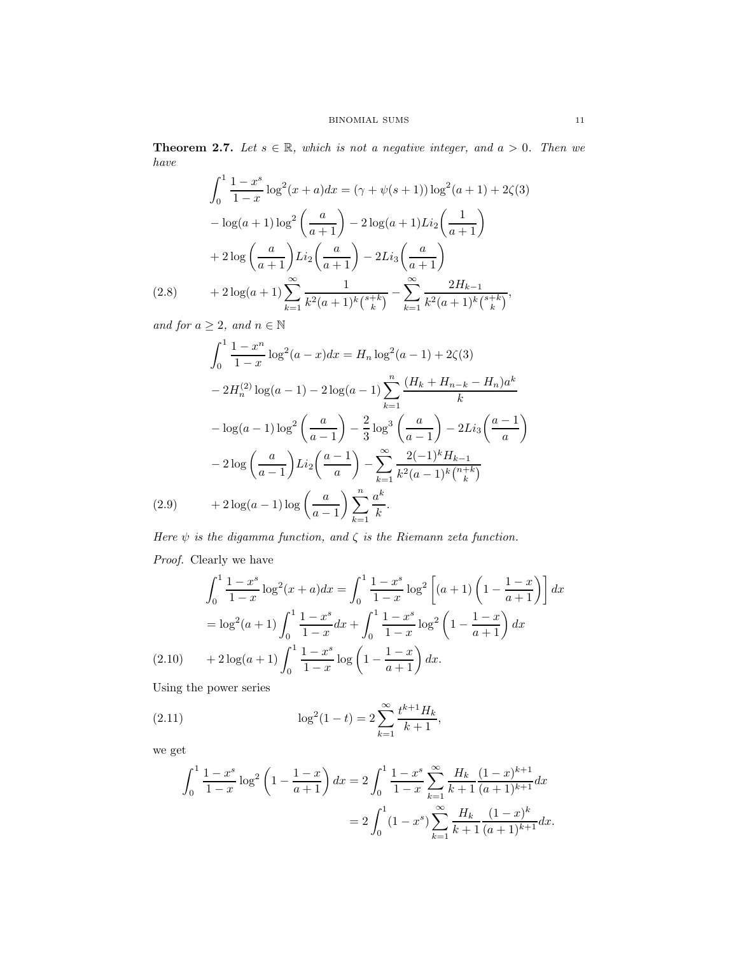**Theorem 2.7.** Let  $s \in \mathbb{R}$ , which is not a negative integer, and  $a > 0$ . Then we have

$$
\int_0^1 \frac{1 - x^s}{1 - x} \log^2(x + a) dx = (\gamma + \psi(s + 1)) \log^2(a + 1) + 2\zeta(3)
$$

$$
- \log(a + 1) \log^2\left(\frac{a}{a + 1}\right) - 2 \log(a + 1) Li_2\left(\frac{1}{a + 1}\right)
$$

$$
+ 2 \log\left(\frac{a}{a + 1}\right) Li_2\left(\frac{a}{a + 1}\right) - 2 Li_3\left(\frac{a}{a + 1}\right)
$$

$$
(2.8) \qquad + 2 \log(a + 1) \sum_{k=1}^\infty \frac{1}{k^2(a + 1)^k {s + k \choose k}} - \sum_{k=1}^\infty \frac{2H_{k-1}}{k^2(a + 1)^k {s + k \choose k}},
$$

<span id="page-10-1"></span>and for  $a \geq 2$ , and  $n \in \mathbb{N}$ 

$$
\int_0^1 \frac{1 - x^n}{1 - x} \log^2(a - x) dx = H_n \log^2(a - 1) + 2\zeta(3)
$$
  

$$
- 2H_n^{(2)} \log(a - 1) - 2\log(a - 1) \sum_{k=1}^n \frac{(H_k + H_{n-k} - H_n)a^k}{k}
$$
  

$$
- \log(a - 1) \log^2\left(\frac{a}{a - 1}\right) - \frac{2}{3} \log^3\left(\frac{a}{a - 1}\right) - 2Li_3\left(\frac{a - 1}{a}\right)
$$
  

$$
- 2 \log\left(\frac{a}{a - 1}\right) Li_2\left(\frac{a - 1}{a}\right) - \sum_{k=1}^\infty \frac{2(-1)^k H_{k-1}}{k^2 (a - 1)^k {n + k \choose k}}
$$
  
(2.9)  $+ 2 \log(a - 1) \log\left(\frac{a}{a - 1}\right) \sum_{k=1}^n \frac{a^k}{k}.$ 

<span id="page-10-2"></span>Here  $\psi$  is the digamma function, and  $\zeta$  is the Riemann zeta function. Proof. Clearly we have

$$
\int_0^1 \frac{1-x^s}{1-x} \log^2(x+a) dx = \int_0^1 \frac{1-x^s}{1-x} \log^2\left[ (a+1) \left( 1 - \frac{1-x}{a+1} \right) \right] dx
$$
  
=  $\log^2(a+1) \int_0^1 \frac{1-x^s}{1-x} dx + \int_0^1 \frac{1-x^s}{1-x} \log^2\left( 1 - \frac{1-x}{a+1} \right) dx$   
(2.10) +  $2 \log(a+1) \int_0^1 \frac{1-x^s}{1-x} \log\left( 1 - \frac{1-x}{a+1} \right) dx$ .

<span id="page-10-0"></span>Using the power series

(2.11) 
$$
\log^2(1-t) = 2\sum_{k=1}^{\infty} \frac{t^{k+1}H_k}{k+1},
$$

we get

<span id="page-10-3"></span>
$$
\int_0^1 \frac{1-x^s}{1-x} \log^2 \left(1 - \frac{1-x}{a+1}\right) dx = 2 \int_0^1 \frac{1-x^s}{1-x} \sum_{k=1}^\infty \frac{H_k}{k+1} \frac{(1-x)^{k+1}}{(a+1)^{k+1}} dx
$$

$$
= 2 \int_0^1 (1-x^s) \sum_{k=1}^\infty \frac{H_k}{k+1} \frac{(1-x)^k}{(a+1)^{k+1}} dx.
$$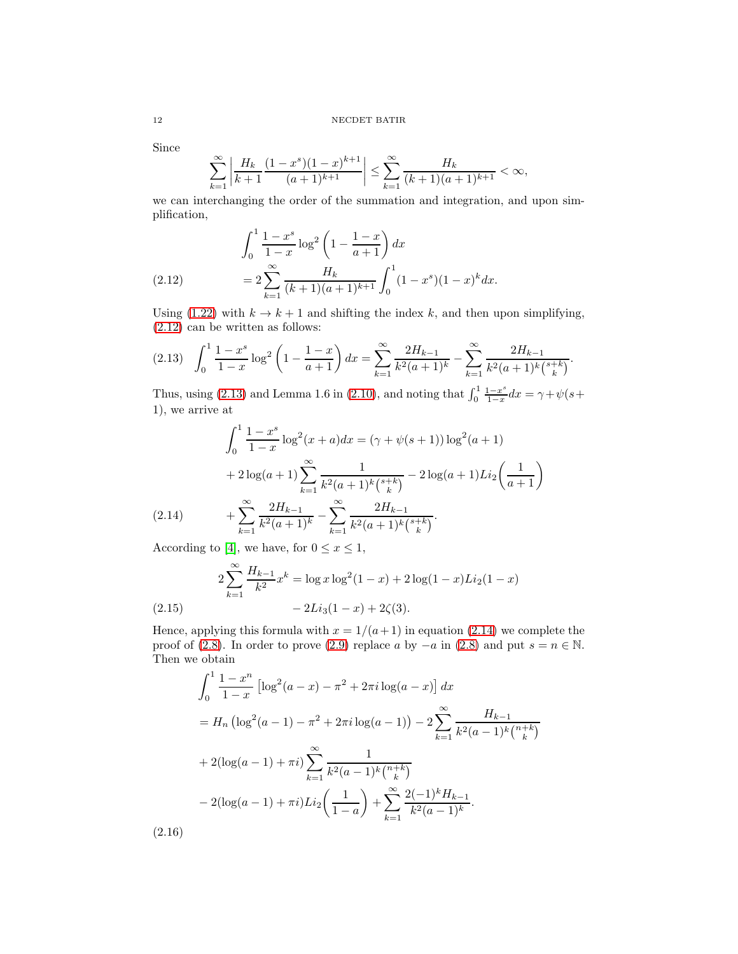Since

$$
\sum_{k=1}^{\infty} \left| \frac{H_k}{k+1} \frac{(1-x^s)(1-x)^{k+1}}{(a+1)^{k+1}} \right| \le \sum_{k=1}^{\infty} \frac{H_k}{(k+1)(a+1)^{k+1}} < \infty,
$$

we can interchanging the order of the summation and integration, and upon simplification,

(2.12) 
$$
\int_0^1 \frac{1-x^s}{1-x} \log^2 \left(1 - \frac{1-x}{a+1}\right) dx
$$

$$
= 2 \sum_{k=1}^\infty \frac{H_k}{(k+1)(a+1)^{k+1}} \int_0^1 (1-x^s)(1-x)^k dx.
$$

<span id="page-11-0"></span>Using [\(1.22\)](#page-5-1) with  $k \to k+1$  and shifting the index k, and then upon simplifying, [\(2.12\)](#page-11-0) can be written as follows:

<span id="page-11-1"></span>
$$
(2.13) \quad \int_0^1 \frac{1-x^s}{1-x} \log^2\left(1-\frac{1-x}{a+1}\right) dx = \sum_{k=1}^\infty \frac{2H_{k-1}}{k^2(a+1)^k} - \sum_{k=1}^\infty \frac{2H_{k-1}}{k^2(a+1)^k {s+k \choose k}}.
$$

Thus, using [\(2.13\)](#page-11-1) and Lemma 1.6 in [\(2.10\)](#page-10-0), and noting that  $\int_0^1 \frac{1-x^s}{1-x}$  $\frac{1-x^2}{1-x}dx = \gamma + \psi(s)$ 1), we arrive at

$$
\int_0^1 \frac{1 - x^s}{1 - x} \log^2(x + a) dx = (\gamma + \psi(s + 1)) \log^2(a + 1)
$$
  
+ 
$$
2 \log(a + 1) \sum_{k=1}^\infty \frac{1}{k^2(a + 1)^k {s + k \choose k}} - 2 \log(a + 1) Li_2\left(\frac{1}{a + 1}\right)
$$
  
(2.14) + 
$$
\sum_{k=1}^\infty \frac{2H_{k-1}}{k^2(a + 1)^k} - \sum_{k=1}^\infty \frac{2H_{k-1}}{k^2(a + 1)^k {s + k \choose k}}.
$$

<span id="page-11-2"></span>According to [\[4\]](#page-24-18), we have, for  $0 \le x \le 1$ ,

$$
2\sum_{k=1}^{\infty} \frac{H_{k-1}}{k^2} x^k = \log x \log^2(1-x) + 2\log(1-x)Li_2(1-x)
$$
  
(2.15) 
$$
-2Li_3(1-x) + 2\zeta(3).
$$

Hence, applying this formula with  $x = 1/(a+1)$  in equation [\(2.14\)](#page-11-2) we complete the proof of [\(2.8\)](#page-10-1). In order to prove [\(2.9\)](#page-10-2) replace a by  $-a$  in (2.8) and put  $s = n \in \mathbb{N}$ . Then we obtain

$$
\int_0^1 \frac{1 - x^n}{1 - x} \left[ \log^2(a - x) - \pi^2 + 2\pi i \log(a - x) \right] dx
$$
  
=  $H_n \left( \log^2(a - 1) - \pi^2 + 2\pi i \log(a - 1) \right) - 2 \sum_{k=1}^\infty \frac{H_{k-1}}{k^2(a - 1)^k {n+k \choose k}}$   
+  $2(\log(a - 1) + \pi i) \sum_{k=1}^\infty \frac{1}{k^2(a - 1)^k {n+k \choose k}}$   
-  $2(\log(a - 1) + \pi i) Li_2 \left( \frac{1}{1 - a} \right) + \sum_{k=1}^\infty \frac{2(-1)^k H_{k-1}}{k^2(a - 1)^k}.$   
(2.16)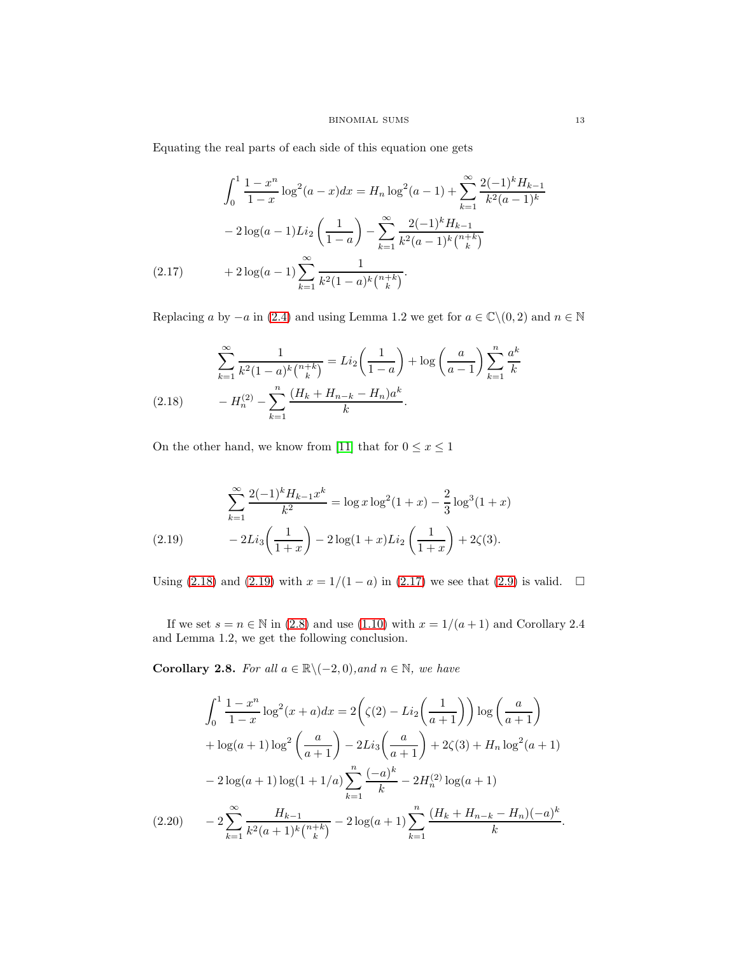Equating the real parts of each side of this equation one gets

$$
\int_0^1 \frac{1 - x^n}{1 - x} \log^2(a - x) dx = H_n \log^2(a - 1) + \sum_{k=1}^\infty \frac{2(-1)^k H_{k-1}}{k^2 (a - 1)^k}
$$

$$
- 2 \log(a - 1) Li_2\left(\frac{1}{1 - a}\right) - \sum_{k=1}^\infty \frac{2(-1)^k H_{k-1}}{k^2 (a - 1)^k {n+k \choose k}}
$$

$$
(2.17) \qquad + 2 \log(a - 1) \sum_{k=1}^\infty \frac{1}{k^2 (1 - a)^k {n+k \choose k}}.
$$

<span id="page-12-2"></span>Replacing a by  $-a$  in [\(2.4\)](#page-8-2) and using Lemma 1.2 we get for  $a \in \mathbb{C} \setminus (0, 2)$  and  $n \in \mathbb{N}$ 

<span id="page-12-0"></span>
$$
\sum_{k=1}^{\infty} \frac{1}{k^2 (1-a)^k {n+k \choose k}} = Li_2 \left(\frac{1}{1-a}\right) + \log \left(\frac{a}{a-1}\right) \sum_{k=1}^n \frac{a^k}{k}
$$
\n
$$
(2.18) \qquad -H_n^{(2)} - \sum_{k=1}^n \frac{(H_k + H_{n-k} - H_n)a^k}{k}.
$$

On the other hand, we know from [\[11\]](#page-24-17) that for  $0\leq x\leq 1$ 

<span id="page-12-1"></span>
$$
\sum_{k=1}^{\infty} \frac{2(-1)^k H_{k-1} x^k}{k^2} = \log x \log^2(1+x) - \frac{2}{3} \log^3(1+x)
$$
\n
$$
(2.19) \qquad -2Li_3\left(\frac{1}{1+x}\right) - 2\log(1+x)Li_2\left(\frac{1}{1+x}\right) + 2\zeta(3).
$$

Using [\(2.18\)](#page-12-0) and [\(2.19\)](#page-12-1) with  $x = 1/(1 - a)$  in [\(2.17\)](#page-12-2) we see that [\(2.9\)](#page-10-2) is valid. □

If we set  $s = n \in \mathbb{N}$  in [\(2.8\)](#page-10-1) and use [\(1.10\)](#page-2-0) with  $x = 1/(a+1)$  and Corollary 2.4 and Lemma 1.2, we get the following conclusion.

Corollary 2.8. For all  $a \in \mathbb{R} \setminus (-2,0)$ , and  $n \in \mathbb{N}$ , we have

<span id="page-12-3"></span>
$$
\int_0^1 \frac{1 - x^n}{1 - x} \log^2(x + a) dx = 2\left(\zeta(2) - Li_2\left(\frac{1}{a + 1}\right)\right) \log\left(\frac{a}{a + 1}\right)
$$

$$
+ \log(a + 1) \log^2\left(\frac{a}{a + 1}\right) - 2Li_3\left(\frac{a}{a + 1}\right) + 2\zeta(3) + H_n \log^2(a + 1)
$$

$$
- 2\log(a + 1) \log(1 + 1/a) \sum_{k=1}^n \frac{(-a)^k}{k} - 2H_n^{(2)} \log(a + 1)
$$

$$
(2.20) \qquad - 2\sum_{k=1}^\infty \frac{H_{k-1}}{k^2(a + 1)^k {n + k \choose k}} - 2\log(a + 1) \sum_{k=1}^n \frac{(H_k + H_{n-k} - H_n)(-a)^k}{k}.
$$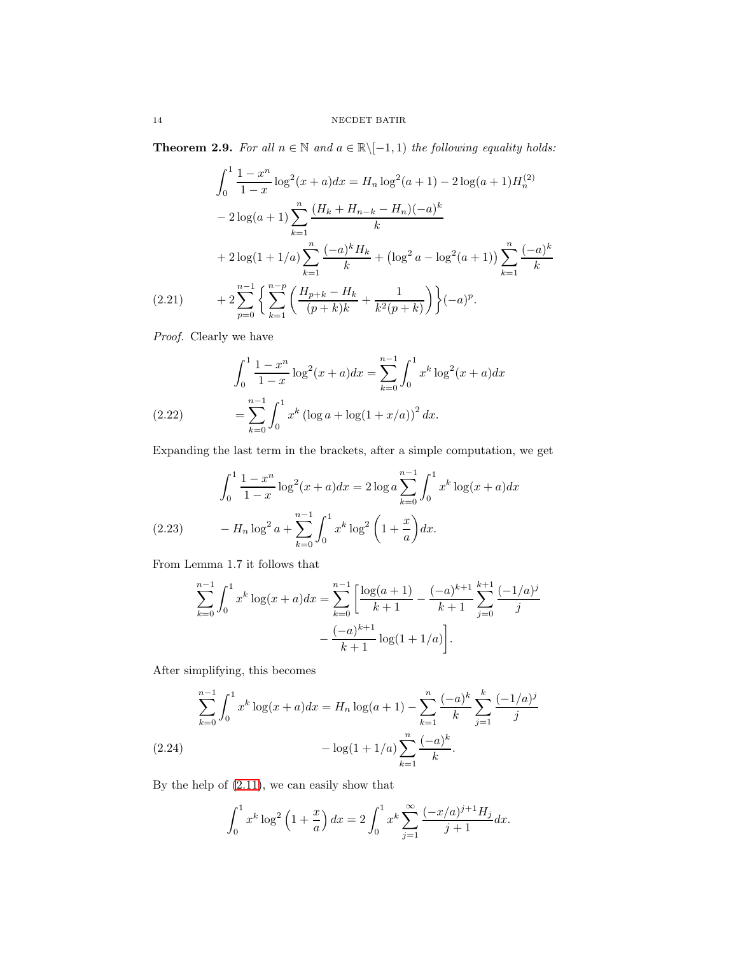**Theorem 2.9.** For all  $n \in \mathbb{N}$  and  $a \in \mathbb{R} \setminus [-1, 1)$  the following equality holds:

$$
\int_0^1 \frac{1 - x^n}{1 - x} \log^2(x + a) dx = H_n \log^2(a + 1) - 2 \log(a + 1) H_n^{(2)}
$$
  

$$
- 2 \log(a + 1) \sum_{k=1}^n \frac{(H_k + H_{n-k} - H_n)(-a)^k}{k}
$$
  

$$
+ 2 \log(1 + 1/a) \sum_{k=1}^n \frac{(-a)^k H_k}{k} + (\log^2 a - \log^2(a + 1)) \sum_{k=1}^n \frac{(-a)^k}{k}
$$
  
(2.21) 
$$
+ 2 \sum_{p=0}^{n-1} \left\{ \sum_{k=1}^{n-p} \left( \frac{H_{p+k} - H_k}{(p+k)k} + \frac{1}{k^2(p+k)} \right) \right\} (-a)^p.
$$

<span id="page-13-2"></span>Proof. Clearly we have

(2.22) 
$$
\int_0^1 \frac{1-x^n}{1-x} \log^2(x+a) dx = \sum_{k=0}^{n-1} \int_0^1 x^k \log^2(x+a) dx
$$

$$
= \sum_{k=0}^{n-1} \int_0^1 x^k (\log a + \log(1+x/a))^2 dx.
$$

Expanding the last term in the brackets, after a simple computation, we get

$$
\int_0^1 \frac{1 - x^n}{1 - x} \log^2(x + a) dx = 2 \log a \sum_{k=0}^{n-1} \int_0^1 x^k \log(x + a) dx
$$
  
(2.23) 
$$
- H_n \log^2 a + \sum_{k=0}^{n-1} \int_0^1 x^k \log^2 \left(1 + \frac{x}{a}\right) dx.
$$

<span id="page-13-1"></span>From Lemma 1.7 it follows that

$$
\sum_{k=0}^{n-1} \int_0^1 x^k \log(x+a) dx = \sum_{k=0}^{n-1} \left[ \frac{\log(a+1)}{k+1} - \frac{(-a)^{k+1}}{k+1} \sum_{j=0}^{k+1} \frac{(-1/a)^j}{j} - \frac{(-a)^{k+1}}{k+1} \log(1+1/a) \right].
$$

After simplifying, this becomes

$$
\sum_{k=0}^{n-1} \int_0^1 x^k \log(x+a) dx = H_n \log(a+1) - \sum_{k=1}^n \frac{(-a)^k}{k} \sum_{j=1}^k \frac{(-1/a)^j}{j}
$$
  
(2.24) 
$$
- \log(1+1/a) \sum_{k=1}^n \frac{(-a)^k}{k}.
$$

<span id="page-13-0"></span>By the help of [\(2.11\)](#page-10-3), we can easily show that

$$
\int_0^1 x^k \log^2 \left( 1 + \frac{x}{a} \right) dx = 2 \int_0^1 x^k \sum_{j=1}^\infty \frac{(-x/a)^{j+1} H_j}{j+1} dx.
$$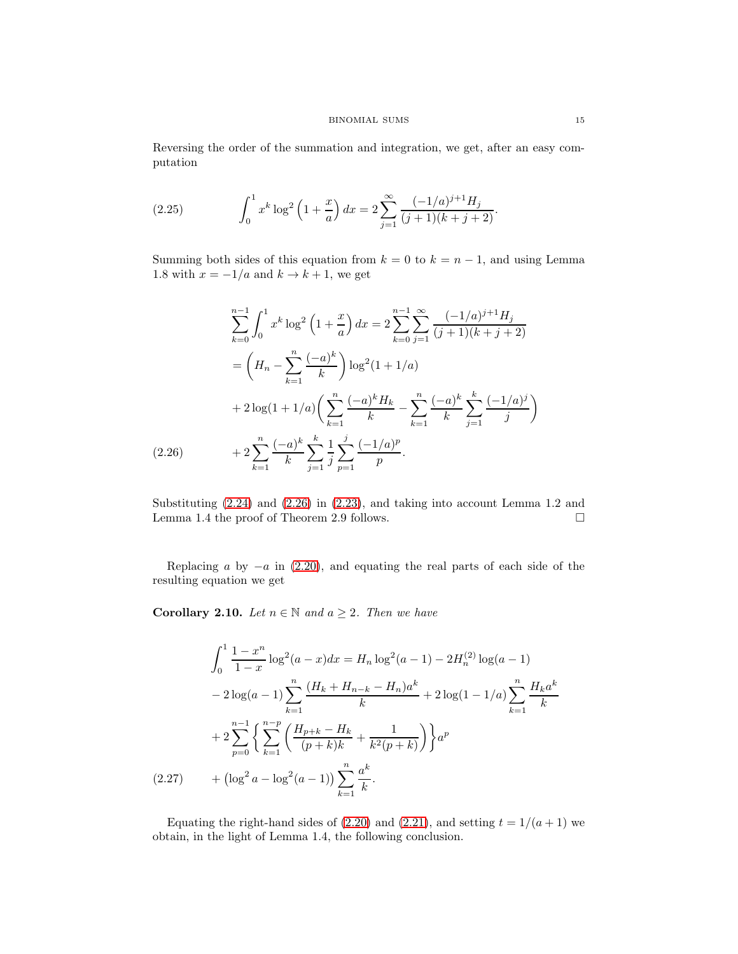Reversing the order of the summation and integration, we get, after an easy computation

(2.25) 
$$
\int_0^1 x^k \log^2 \left(1 + \frac{x}{a}\right) dx = 2 \sum_{j=1}^\infty \frac{(-1/a)^{j+1} H_j}{(j+1)(k+j+2)}.
$$

Summing both sides of this equation from  $k = 0$  to  $k = n - 1$ , and using Lemma 1.8 with  $x = -1/a$  and  $k \rightarrow k+1$ , we get

$$
\sum_{k=0}^{n-1} \int_0^1 x^k \log^2 \left( 1 + \frac{x}{a} \right) dx = 2 \sum_{k=0}^{n-1} \sum_{j=1}^{\infty} \frac{(-1/a)^{j+1} H_j}{(j+1)(k+j+2)}
$$
  
=  $\left( H_n - \sum_{k=1}^n \frac{(-a)^k}{k} \right) \log^2(1+1/a)$   
+  $2 \log(1+1/a) \left( \sum_{k=1}^n \frac{(-a)^k H_k}{k} - \sum_{k=1}^n \frac{(-a)^k}{k} \sum_{j=1}^k \frac{(-1/a)^j}{j} \right)$   
(2.26)  $+ 2 \sum_{k=1}^n \frac{(-a)^k}{k} \sum_{j=1}^k \frac{1}{j} \sum_{p=1}^j \frac{(-1/a)^p}{p}.$ 

<span id="page-14-0"></span>Substituting [\(2.24\)](#page-13-0) and [\(2.26\)](#page-14-0) in [\(2.23\)](#page-13-1), and taking into account Lemma 1.2 and Lemma 1.4 the proof of Theorem 2.9 follows.

Replacing a by  $-a$  in [\(2.20\)](#page-12-3), and equating the real parts of each side of the resulting equation we get

**Corollary 2.10.** Let  $n \in \mathbb{N}$  and  $a \geq 2$ . Then we have

$$
\int_0^1 \frac{1 - x^n}{1 - x} \log^2(a - x) dx = H_n \log^2(a - 1) - 2H_n^{(2)} \log(a - 1)
$$

$$
- 2 \log(a - 1) \sum_{k=1}^n \frac{(H_k + H_{n-k} - H_n)a^k}{k} + 2 \log(1 - 1/a) \sum_{k=1}^n \frac{H_k a^k}{k}
$$

$$
+ 2 \sum_{p=0}^{n-1} \left\{ \sum_{k=1}^{n-p} \left( \frac{H_{p+k} - H_k}{(p+k)k} + \frac{1}{k^2(p+k)} \right) \right\} a^p
$$

$$
(2.27) \qquad + (\log^2 a - \log^2(a - 1)) \sum_{k=1}^n \frac{a^k}{k}.
$$

<span id="page-14-1"></span>Equating the right-hand sides of [\(2.20\)](#page-12-3) and [\(2.21\)](#page-13-2), and setting  $t = 1/(a + 1)$  we obtain, in the light of Lemma 1.4, the following conclusion.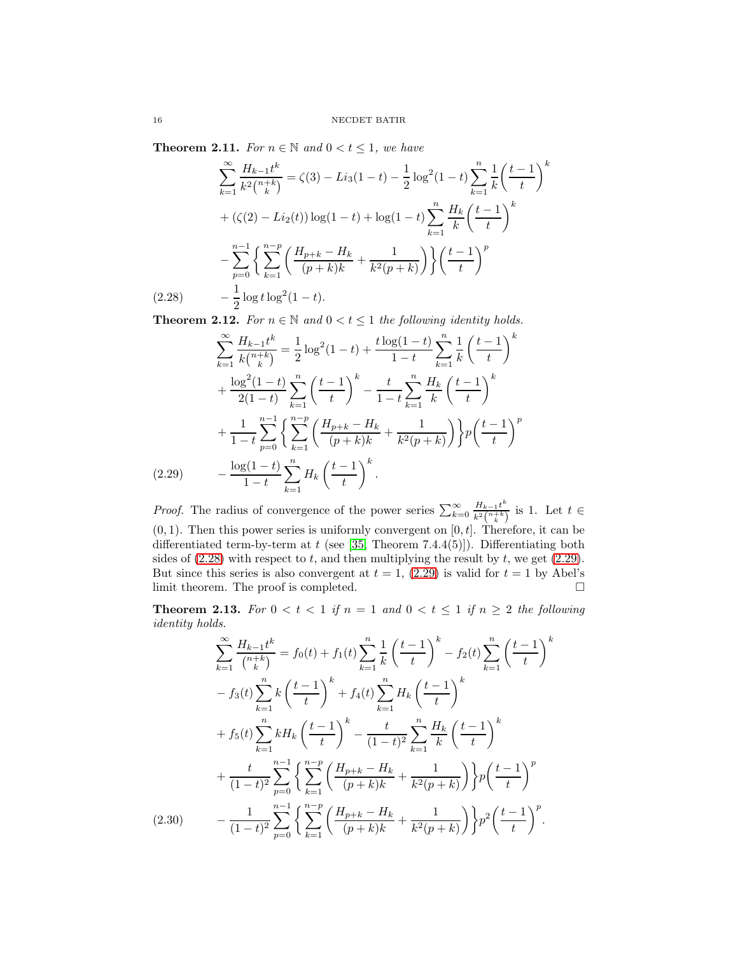**Theorem 2.11.** For  $n \in \mathbb{N}$  and  $0 < t \leq 1$ , we have

$$
\sum_{k=1}^{\infty} \frac{H_{k-1}t^k}{k^2\binom{n+k}{k}} = \zeta(3) - Li_3(1-t) - \frac{1}{2}\log^2(1-t)\sum_{k=1}^n \frac{1}{k}\left(\frac{t-1}{t}\right)^k
$$
  
+  $(\zeta(2) - Li_2(t))\log(1-t) + \log(1-t)\sum_{k=1}^n \frac{H_k}{k}\left(\frac{t-1}{t}\right)^k$   
 $-\sum_{p=0}^{n-1} \left\{\sum_{k=1}^{n-p} \left(\frac{H_{p+k} - H_k}{(p+k)k} + \frac{1}{k^2(p+k)}\right)\right\} \left(\frac{t-1}{t}\right)^p$   
(2.28)  $-\frac{1}{2}\log t \log^2(1-t).$ 

<span id="page-15-0"></span>**Theorem 2.12.** For  $n \in \mathbb{N}$  and  $0 < t \leq 1$  the following identity holds.

$$
\sum_{k=1}^{\infty} \frac{H_{k-1}t^k}{k\binom{n+k}{k}} = \frac{1}{2}\log^2(1-t) + \frac{t\log(1-t)}{1-t}\sum_{k=1}^n \frac{1}{k}\left(\frac{t-1}{t}\right)^k
$$

$$
+ \frac{\log^2(1-t)}{2(1-t)}\sum_{k=1}^n \left(\frac{t-1}{t}\right)^k - \frac{t}{1-t}\sum_{k=1}^n \frac{H_k}{k}\left(\frac{t-1}{t}\right)^k
$$

$$
+ \frac{1}{1-t}\sum_{p=0}^{n-1} \left\{\sum_{k=1}^{n-p} \left(\frac{H_{p+k}-H_k}{(p+k)k} + \frac{1}{k^2(p+k)}\right)\right\} p\left(\frac{t-1}{t}\right)^p
$$

$$
(2.29) \qquad - \frac{\log(1-t)}{1-t}\sum_{k=1}^n H_k\left(\frac{t-1}{t}\right)^k.
$$

<span id="page-15-1"></span>*Proof.* The radius of convergence of the power series  $\sum_{k=0}^{\infty} \frac{H_{k-1}t^k}{k^2\binom{n+k}{k}}$  $\frac{H_{k-1}t}{k^2\binom{n+k}{k}}$  is 1. Let  $t \in$  $(0, 1)$ . Then this power series is uniformly convergent on  $[0, t]$ . Therefore, it can be differentiated term-by-term at  $t$  (see [\[35,](#page-25-2) Theorem 7.4.4(5)]). Differentiating both sides of  $(2.28)$  with respect to t, and then multiplying the result by t, we get  $(2.29)$ . But since this series is also convergent at  $t = 1$ , [\(2.29\)](#page-15-1) is valid for  $t = 1$  by Abel's limit theorem. The proof is completed.  $\Box$ 

**Theorem 2.13.** For  $0 < t < 1$  if  $n = 1$  and  $0 < t \le 1$  if  $n \ge 2$  the following identity holds.

<span id="page-15-2"></span>
$$
\sum_{k=1}^{\infty} \frac{H_{k-1}t^k}{\binom{n+k}{k}} = f_0(t) + f_1(t) \sum_{k=1}^n \frac{1}{k} \left(\frac{t-1}{t}\right)^k - f_2(t) \sum_{k=1}^n \left(\frac{t-1}{t}\right)^k
$$

$$
- f_3(t) \sum_{k=1}^n k \left(\frac{t-1}{t}\right)^k + f_4(t) \sum_{k=1}^n H_k \left(\frac{t-1}{t}\right)^k
$$

$$
+ f_5(t) \sum_{k=1}^n k H_k \left(\frac{t-1}{t}\right)^k - \frac{t}{(1-t)^2} \sum_{k=1}^n \frac{H_k}{k} \left(\frac{t-1}{t}\right)^k
$$

$$
+ \frac{t}{(1-t)^2} \sum_{p=0}^{n-1} \left\{\sum_{k=1}^{n-p} \left(\frac{H_{p+k} - H_k}{(p+k)k} + \frac{1}{k^2(p+k)}\right)\right\} p \left(\frac{t-1}{t}\right)^p
$$

$$
(2.30) \qquad - \frac{1}{(1-t)^2} \sum_{p=0}^{n-1} \left\{\sum_{k=1}^{n-p} \left(\frac{H_{p+k} - H_k}{(p+k)k} + \frac{1}{k^2(p+k)}\right)\right\} p^2 \left(\frac{t-1}{t}\right)^p.
$$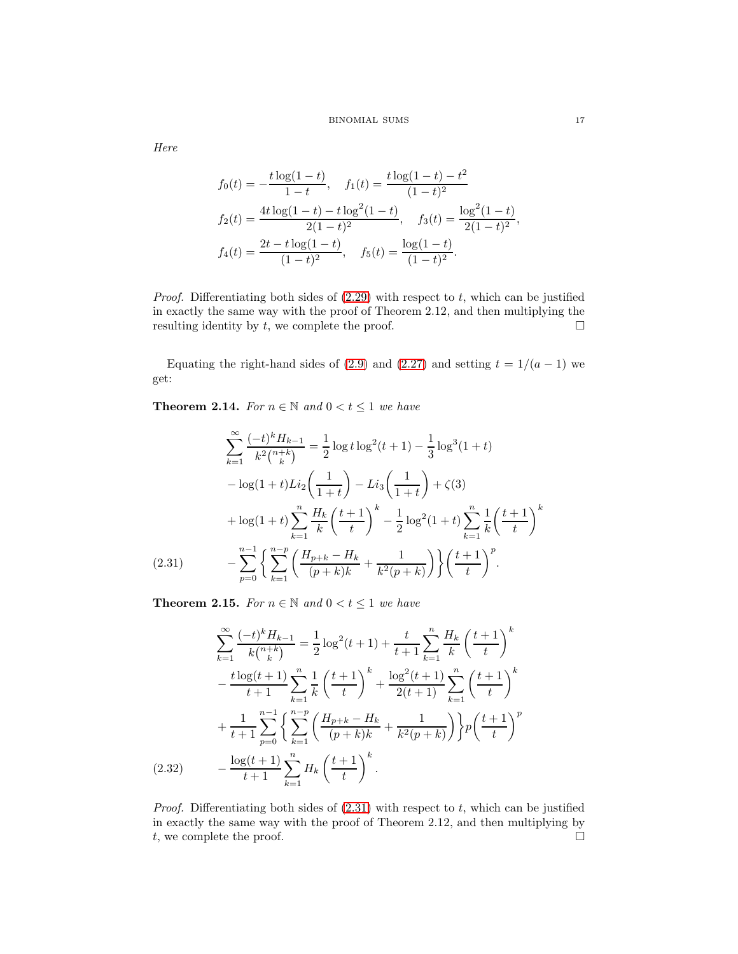# BINOMIAL SUMS 17

Here

$$
f_0(t) = -\frac{t \log(1-t)}{1-t}, \quad f_1(t) = \frac{t \log(1-t) - t^2}{(1-t)^2}
$$

$$
f_2(t) = \frac{4t \log(1-t) - t \log^2(1-t)}{2(1-t)^2}, \quad f_3(t) = \frac{\log^2(1-t)}{2(1-t)^2},
$$

$$
f_4(t) = \frac{2t - t \log(1-t)}{(1-t)^2}, \quad f_5(t) = \frac{\log(1-t)}{(1-t)^2}.
$$

*Proof.* Differentiating both sides of  $(2.29)$  with respect to t, which can be justified in exactly the same way with the proof of Theorem 2.12, and then multiplying the resulting identity by  $t$ , we complete the proof.  $\Box$ 

Equating the right-hand sides of [\(2.9\)](#page-10-2) and [\(2.27\)](#page-14-1) and setting  $t = 1/(a - 1)$  we get:

**Theorem 2.14.** For  $n \in \mathbb{N}$  and  $0 < t \leq 1$  we have

$$
\sum_{k=1}^{\infty} \frac{(-t)^k H_{k-1}}{k^2 {n+k \choose k}} = \frac{1}{2} \log t \log^2(t+1) - \frac{1}{3} \log^3(1+t)
$$

$$
- \log(1+t) Li_2\left(\frac{1}{1+t}\right) - Li_3\left(\frac{1}{1+t}\right) + \zeta(3)
$$

$$
+ \log(1+t) \sum_{k=1}^n \frac{H_k}{k} \left(\frac{t+1}{t}\right)^k - \frac{1}{2} \log^2(1+t) \sum_{k=1}^n \frac{1}{k} \left(\frac{t+1}{t}\right)^k
$$

$$
(2.31) \qquad - \sum_{p=0}^{n-1} \left\{ \sum_{k=1}^{n-p} \left(\frac{H_{p+k} - H_k}{(p+k)k} + \frac{1}{k^2(p+k)}\right) \right\} \left(\frac{t+1}{t}\right)^p.
$$

<span id="page-16-0"></span>**Theorem 2.15.** For  $n \in \mathbb{N}$  and  $0 < t \leq 1$  we have

$$
\sum_{k=1}^{\infty} \frac{(-t)^k H_{k-1}}{k \binom{n+k}{k}} = \frac{1}{2} \log^2(t+1) + \frac{t}{t+1} \sum_{k=1}^n \frac{H_k}{k} \left(\frac{t+1}{t}\right)^k
$$

$$
- \frac{t \log(t+1)}{t+1} \sum_{k=1}^n \frac{1}{k} \left(\frac{t+1}{t}\right)^k + \frac{\log^2(t+1)}{2(t+1)} \sum_{k=1}^n \left(\frac{t+1}{t}\right)^k
$$

$$
+ \frac{1}{t+1} \sum_{p=0}^{n-1} \left\{ \sum_{k=1}^{n-p} \left(\frac{H_{p+k} - H_k}{(p+k)k} + \frac{1}{k^2(p+k)}\right) \right\} p \left(\frac{t+1}{t}\right)^p
$$

$$
(2.32) \qquad - \frac{\log(t+1)}{t+1} \sum_{k=1}^n H_k \left(\frac{t+1}{t}\right)^k.
$$

<span id="page-16-1"></span>*Proof.* Differentiating both sides of  $(2.31)$  with respect to t, which can be justified in exactly the same way with the proof of Theorem 2.12, and then multiplying by t, we complete the proof.  $\Box$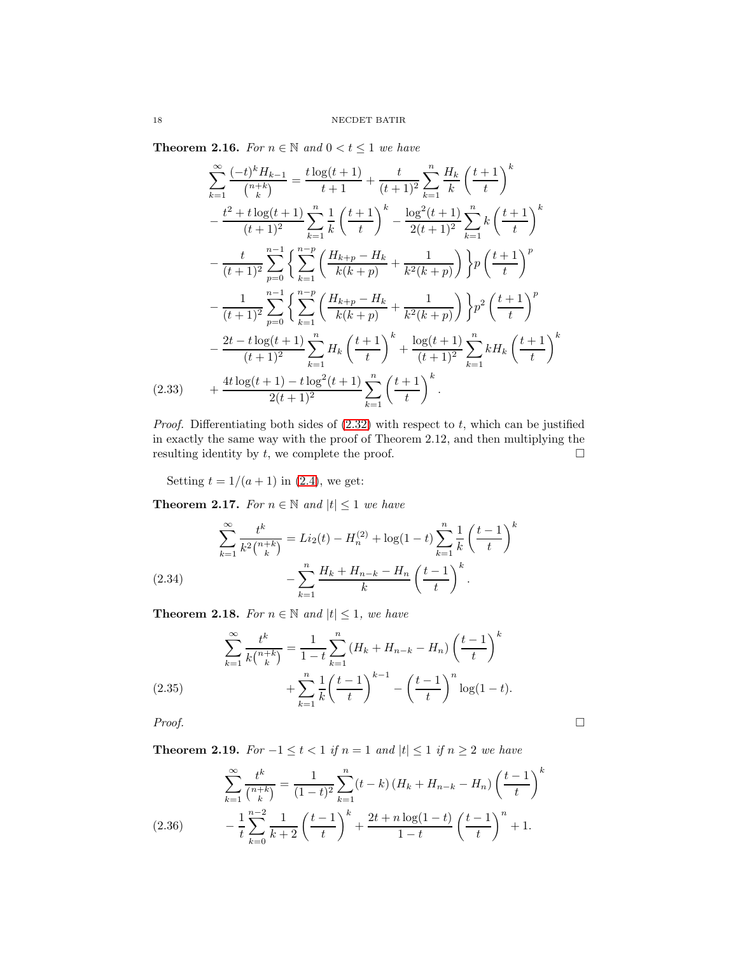Theorem 2.16. For  $n \in \mathbb{N}$  and  $0 < t \leq 1$  we have

$$
\sum_{k=1}^{\infty} \frac{(-t)^k H_{k-1}}{\binom{n+k}{k}} = \frac{t \log(t+1)}{t+1} + \frac{t}{(t+1)^2} \sum_{k=1}^n \frac{H_k}{k} \left(\frac{t+1}{t}\right)^k
$$

$$
- \frac{t^2 + t \log(t+1)}{(t+1)^2} \sum_{k=1}^n \frac{1}{k} \left(\frac{t+1}{t}\right)^k - \frac{\log^2(t+1)}{2(t+1)^2} \sum_{k=1}^n k \left(\frac{t+1}{t}\right)^k
$$

$$
- \frac{t}{(t+1)^2} \sum_{p=0}^{n-1} \left\{ \sum_{k=1}^{n-p} \left(\frac{H_{k+p} - H_k}{k(k+p)} + \frac{1}{k^2(k+p)}\right) \right\} p \left(\frac{t+1}{t}\right)^p
$$

$$
- \frac{1}{(t+1)^2} \sum_{p=0}^{n-1} \left\{ \sum_{k=1}^{n-p} \left(\frac{H_{k+p} - H_k}{k(k+p)} + \frac{1}{k^2(k+p)}\right) \right\} p^2 \left(\frac{t+1}{t}\right)^p
$$

$$
- \frac{2t - t \log(t+1)}{(t+1)^2} \sum_{k=1}^n H_k \left(\frac{t+1}{t}\right)^k + \frac{\log(t+1)}{(t+1)^2} \sum_{k=1}^n k H_k \left(\frac{t+1}{t}\right)^k
$$

$$
(2.33) + \frac{4t \log(t+1) - t \log^2(t+1)}{2(t+1)^2} \sum_{k=1}^n \left(\frac{t+1}{t}\right)^k.
$$

<span id="page-17-2"></span>*Proof.* Differentiating both sides of  $(2.32)$  with respect to t, which can be justified in exactly the same way with the proof of Theorem 2.12, and then multiplying the resulting identity by  $t$ , we complete the proof.  $\Box$ 

Setting  $t = 1/(a + 1)$  in [\(2.4\)](#page-8-2), we get:

**Theorem 2.17.** For  $n \in \mathbb{N}$  and  $|t| \leq 1$  we have

$$
\sum_{k=1}^{\infty} \frac{t^k}{k^2 {n+k \choose k}} = Li_2(t) - H_n^{(2)} + \log(1-t) \sum_{k=1}^n \frac{1}{k} \left(\frac{t-1}{t}\right)^k - \sum_{k=1}^n \frac{H_k + H_{n-k} - H_n}{k} \left(\frac{t-1}{t}\right)^k.
$$
\n(2.34)

<span id="page-17-1"></span>**Theorem 2.18.** For  $n \in \mathbb{N}$  and  $|t| \leq 1$ , we have

$$
\sum_{k=1}^{\infty} \frac{t^k}{k {n+k \choose k}} = \frac{1}{1-t} \sum_{k=1}^n (H_k + H_{n-k} - H_n) \left(\frac{t-1}{t}\right)^k
$$
  
(2.35) 
$$
+ \sum_{k=1}^n \frac{1}{k} \left(\frac{t-1}{t}\right)^{k-1} - \left(\frac{t-1}{t}\right)^n \log(1-t).
$$

<span id="page-17-0"></span> $Proof.$ 

Theorem 2.19. For  $-1 \le t < 1$  if  $n = 1$  and  $|t| \le 1$  if  $n \ge 2$  we have

<span id="page-17-3"></span>
$$
\sum_{k=1}^{\infty} \frac{t^k}{\binom{n+k}{k}} = \frac{1}{(1-t)^2} \sum_{k=1}^n (t-k) \left( H_k + H_{n-k} - H_n \right) \left( \frac{t-1}{t} \right)^k
$$
\n
$$
- \frac{1}{t} \sum_{k=0}^{n-2} \frac{1}{k+2} \left( \frac{t-1}{t} \right)^k + \frac{2t + n \log(1-t)}{1-t} \left( \frac{t-1}{t} \right)^n + 1.
$$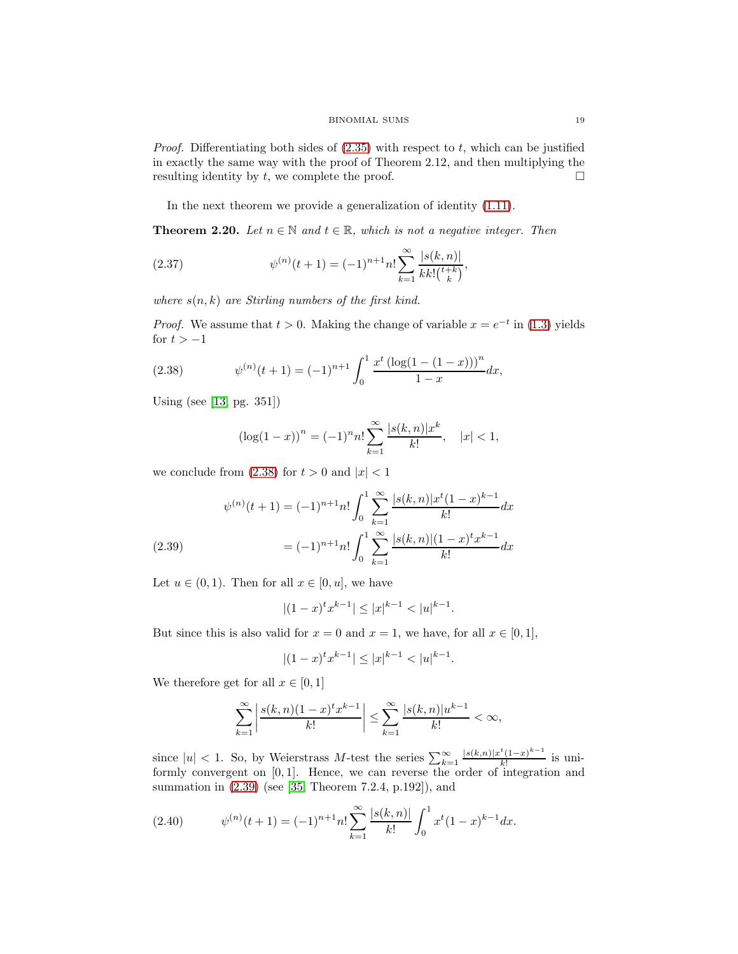*Proof.* Differentiating both sides of  $(2.35)$  with respect to t, which can be justified in exactly the same way with the proof of Theorem 2.12, and then multiplying the resulting identity by  $t$ , we complete the proof.  $\Box$ 

In the next theorem we provide a generalization of identity [\(1.11\)](#page-3-3).

**Theorem 2.20.** Let  $n \in \mathbb{N}$  and  $t \in \mathbb{R}$ , which is not a negative integer. Then

<span id="page-18-2"></span>(2.37) 
$$
\psi^{(n)}(t+1) = (-1)^{n+1} n! \sum_{k=1}^{\infty} \frac{|s(k,n)|}{k k! \binom{t+k}{k}},
$$

where  $s(n, k)$  are Stirling numbers of the first kind.

*Proof.* We assume that  $t > 0$ . Making the change of variable  $x = e^{-t}$  in [\(1.3\)](#page-0-0) yields for  $t > -1$ 

(2.38) 
$$
\psi^{(n)}(t+1) = (-1)^{n+1} \int_0^1 \frac{x^t \left( \log(1 - (1-x)) \right)^n}{1-x} dx,
$$

Using (see [\[13,](#page-24-19) pg. 351])

<span id="page-18-0"></span>
$$
(\log(1-x))^n = (-1)^n n! \sum_{k=1}^{\infty} \frac{|s(k,n)|x^k}{k!}, \quad |x| < 1,
$$

we conclude from  $(2.38)$  for  $t > 0$  and  $|x| < 1$ 

$$
\psi^{(n)}(t+1) = (-1)^{n+1} n! \int_0^1 \sum_{k=1}^\infty \frac{|s(k,n)| x^t (1-x)^{k-1}}{k!} dx
$$
  
(2.39)
$$
= (-1)^{n+1} n! \int_0^1 \sum_{k=1}^\infty \frac{|s(k,n)| (1-x)^t x^{k-1}}{k!} dx
$$

<span id="page-18-1"></span>Let  $u \in (0, 1)$ . Then for all  $x \in [0, u]$ , we have

$$
|(1-x)^{t}x^{k-1}| \le |x|^{k-1} < |u|^{k-1}.
$$

But since this is also valid for  $x = 0$  and  $x = 1$ , we have, for all  $x \in [0, 1]$ ,

$$
|(1-x)^tx^{k-1}|\leq |x|^{k-1}<|u|^{k-1}.
$$

We therefore get for all  $x \in [0, 1]$ 

$$
\sum_{k=1}^{\infty} \left| \frac{s(k,n)(1-x)^t x^{k-1}}{k!} \right| \leq \sum_{k=1}^{\infty} \frac{|s(k,n)| u^{k-1}}{k!} < \infty,
$$

since  $|u| < 1$ . So, by Weierstrass M-test the series  $\sum_{k=1}^{\infty} \frac{|s(k,n)|x^t(1-x)^{k-1}}{k!}$  $\frac{(1-x)}{k!}$  is uniformly convergent on [0, 1]. Hence, we can reverse the order of integration and summation in [\(2.39\)](#page-18-1) (see [\[35,](#page-25-2) Theorem 7.2.4, p.192]), and

(2.40) 
$$
\psi^{(n)}(t+1) = (-1)^{n+1} n! \sum_{k=1}^{\infty} \frac{|s(k,n)|}{k!} \int_0^1 x^t (1-x)^{k-1} dx.
$$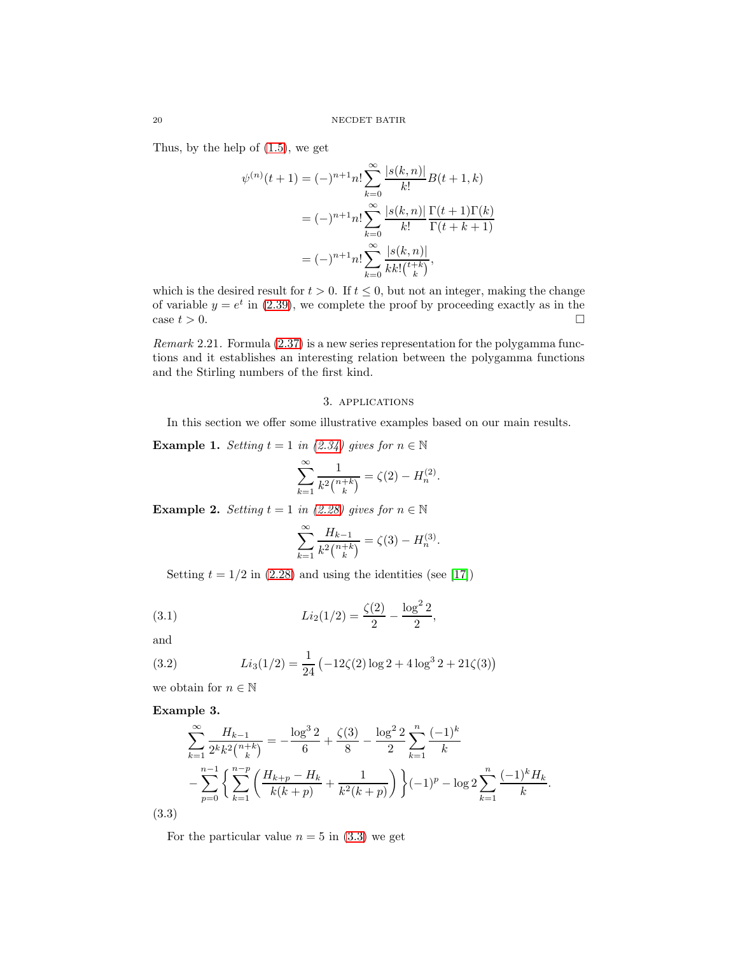Thus, by the help of [\(1.5\)](#page-1-0), we get

$$
\psi^{(n)}(t+1) = (-)^{n+1} n! \sum_{k=0}^{\infty} \frac{|s(k,n)|}{k!} B(t+1,k)
$$

$$
= (-)^{n+1} n! \sum_{k=0}^{\infty} \frac{|s(k,n)|}{k!} \frac{\Gamma(t+1)\Gamma(k)}{\Gamma(t+k+1)}
$$

$$
= (-)^{n+1} n! \sum_{k=0}^{\infty} \frac{|s(k,n)|}{k! \binom{t+k}{k}},
$$

which is the desired result for  $t > 0$ . If  $t \leq 0$ , but not an integer, making the change of variable  $y = e^t$  in [\(2.39\)](#page-18-1), we complete the proof by proceeding exactly as in the case  $t > 0$ .

Remark 2.21. Formula [\(2.37\)](#page-18-2) is a new series representation for the polygamma functions and it establishes an interesting relation between the polygamma functions and the Stirling numbers of the first kind.

# 3. applications

In this section we offer some illustrative examples based on our main results.

**Example 1.** Setting  $t = 1$  in [\(2.34\)](#page-17-1) gives for  $n \in \mathbb{N}$ 

$$
\sum_{k=1}^{\infty} \frac{1}{k^2 {n+k \choose k}} = \zeta(2) - H_n^{(2)}.
$$

**Example 2.** Setting  $t = 1$  in [\(2.28\)](#page-15-0) gives for  $n \in \mathbb{N}$ 

<span id="page-19-1"></span>
$$
\sum_{k=1}^{\infty} \frac{H_{k-1}}{k^2 {n+k \choose k}} = \zeta(3) - H_n^{(3)}.
$$

Setting  $t = 1/2$  in [\(2.28\)](#page-15-0) and using the identities (see [\[17\]](#page-24-8))

(3.1) 
$$
Li_2(1/2) = \frac{\zeta(2)}{2} - \frac{\log^2 2}{2},
$$

and

<span id="page-19-2"></span>(3.2) 
$$
Li_3(1/2) = \frac{1}{24} \left( -12\zeta(2) \log 2 + 4 \log^3 2 + 21\zeta(3) \right)
$$

we obtain for  $n\in\mathbb{N}$ 

Example 3.

$$
\sum_{k=1}^{\infty} \frac{H_{k-1}}{2^k k^2 {n+k \choose k}} = -\frac{\log^3 2}{6} + \frac{\zeta(3)}{8} - \frac{\log^2 2}{2} \sum_{k=1}^n \frac{(-1)^k}{k}
$$

$$
-\sum_{p=0}^{n-1} \left\{ \sum_{k=1}^{n-p} \left( \frac{H_{k+p} - H_k}{k(k+p)} + \frac{1}{k^2(k+p)} \right) \right\} (-1)^p - \log 2 \sum_{k=1}^n \frac{(-1)^k H_k}{k}.
$$
  
(3.3)

<span id="page-19-0"></span>For the particular value  $n = 5$  in  $(3.3)$  we get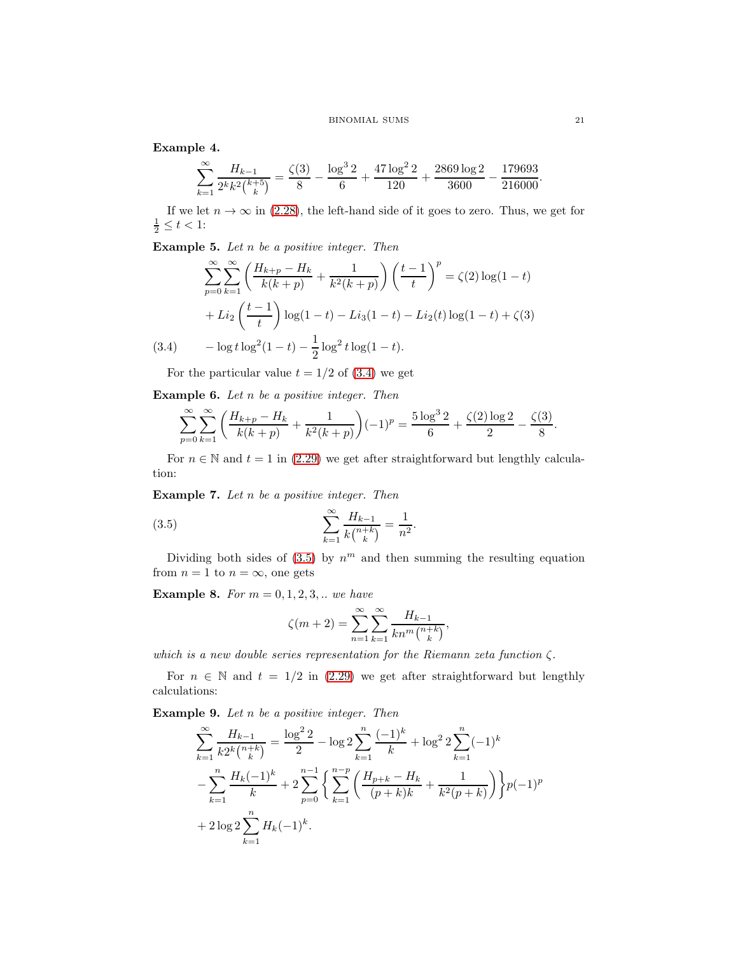Example 4.

$$
\sum_{k=1}^{\infty} \frac{H_{k-1}}{2^k k^2 {k+5 \choose k}} = \frac{\zeta(3)}{8} - \frac{\log^3 2}{6} + \frac{47 \log^2 2}{120} + \frac{2869 \log 2}{3600} - \frac{179693}{216000}
$$

If we let  $n \to \infty$  in [\(2.28\)](#page-15-0), the left-hand side of it goes to zero. Thus, we get for  $\frac{1}{2} \le t < 1$ :

**Example 5.** Let  $n$  be a positive integer. Then

$$
\sum_{p=0}^{\infty} \sum_{k=1}^{\infty} \left( \frac{H_{k+p} - H_k}{k(k+p)} + \frac{1}{k^2(k+p)} \right) \left( \frac{t-1}{t} \right)^p = \zeta(2) \log(1-t) + Li_2 \left( \frac{t-1}{t} \right) \log(1-t) - Li_3(1-t) - Li_2(t) \log(1-t) + \zeta(3) - \log t \log^2(1-t) - \frac{1}{2} \log^2 t \log(1-t).
$$

<span id="page-20-0"></span>For the particular value  $t = 1/2$  of [\(3.4\)](#page-20-0) we get

**Example 6.** Let  $n$  be a positive integer. Then

$$
\sum_{p=0}^{\infty} \sum_{k=1}^{\infty} \left( \frac{H_{k+p} - H_k}{k(k+p)} + \frac{1}{k^2(k+p)} \right) (-1)^p = \frac{5 \log^3 2}{6} + \frac{\zeta(2) \log 2}{2} - \frac{\zeta(3)}{8}.
$$

For  $n \in \mathbb{N}$  and  $t = 1$  in [\(2.29\)](#page-15-1) we get after straightforward but lengthly calculation:

**Example 7.** Let  $n$  be a positive integer. Then

<span id="page-20-1"></span>(3.5) 
$$
\sum_{k=1}^{\infty} \frac{H_{k-1}}{k {n+k \choose k}} = \frac{1}{n^2}.
$$

Dividing both sides of  $(3.5)$  by  $n^m$  and then summing the resulting equation from  $n = 1$  to  $n = \infty$ , one gets

**Example 8.** For  $m = 0, 1, 2, 3, ...$  we have

$$
\zeta(m+2) = \sum_{n=1}^{\infty} \sum_{k=1}^{\infty} \frac{H_{k-1}}{kn^m {n+k \choose k}},
$$

which is a new double series representation for the Riemann zeta function  $\zeta$ .

For  $n \in \mathbb{N}$  and  $t = 1/2$  in [\(2.29\)](#page-15-1) we get after straightforward but lengthly calculations:

**Example 9.** Let  $n$  be a positive integer. Then

$$
\sum_{k=1}^{\infty} \frac{H_{k-1}}{k2^k \binom{n+k}{k}} = \frac{\log^2 2}{2} - \log 2 \sum_{k=1}^n \frac{(-1)^k}{k} + \log^2 2 \sum_{k=1}^n (-1)^k
$$
  

$$
- \sum_{k=1}^n \frac{H_k(-1)^k}{k} + 2 \sum_{p=0}^{n-1} \left\{ \sum_{k=1}^{n-p} \left( \frac{H_{p+k} - H_k}{(p+k)k} + \frac{1}{k^2 (p+k)} \right) \right\} p(-1)^p
$$
  

$$
+ 2 \log 2 \sum_{k=1}^n H_k(-1)^k.
$$

.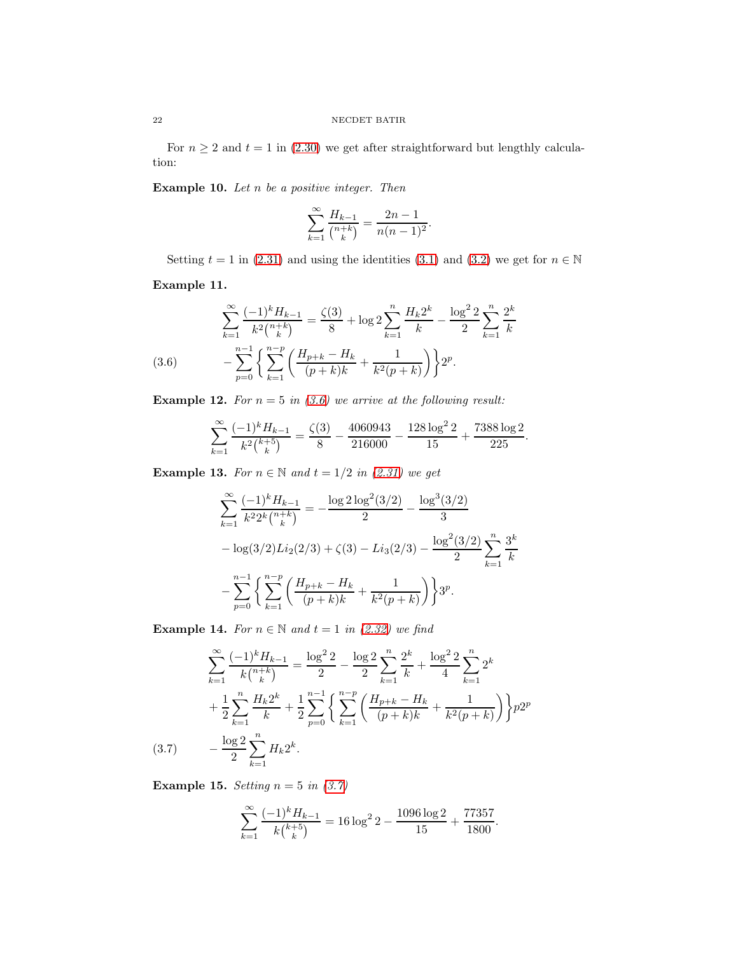For  $n \geq 2$  and  $t = 1$  in [\(2.30\)](#page-15-2) we get after straightforward but lengthly calculation:

Example 10. Let  $n$  be a positive integer. Then

$$
\sum_{k=1}^{\infty} \frac{H_{k-1}}{\binom{n+k}{k}} = \frac{2n-1}{n(n-1)^2}.
$$

Setting  $t = 1$  in [\(2.31\)](#page-16-0) and using the identities [\(3.1\)](#page-19-1) and [\(3.2\)](#page-19-2) we get for  $n \in \mathbb{N}$ 

Example 11.

$$
\sum_{k=1}^{\infty} \frac{(-1)^k H_{k-1}}{k^2 {n+k \choose k}} = \frac{\zeta(3)}{8} + \log 2 \sum_{k=1}^n \frac{H_k 2^k}{k} - \frac{\log^2 2}{2} \sum_{k=1}^n \frac{2^k}{k}
$$
\n
$$
(3.6) \qquad -\sum_{p=0}^{n-1} \left\{ \sum_{k=1}^{n-p} \left( \frac{H_{p+k} - H_k}{(p+k)k} + \frac{1}{k^2 (p+k)} \right) \right\} 2^p.
$$

<span id="page-21-0"></span>**Example 12.** For  $n = 5$  in [\(3.6\)](#page-21-0) we arrive at the following result:

$$
\sum_{k=1}^{\infty} \frac{(-1)^k H_{k-1}}{k^2 {k+5 \choose k}} = \frac{\zeta(3)}{8} - \frac{4060943}{216000} - \frac{128 \log^2 2}{15} + \frac{7388 \log 2}{225}.
$$

Example 13. For  $n \in \mathbb{N}$  and  $t = 1/2$  in [\(2.31\)](#page-16-0) we get

$$
\sum_{k=1}^{\infty} \frac{(-1)^k H_{k-1}}{k^2 2^k \binom{n+k}{k}} = -\frac{\log 2 \log^2(3/2)}{2} - \frac{\log^3(3/2)}{3}
$$

$$
- \log(3/2) Li_2(2/3) + \zeta(3) - Li_3(2/3) - \frac{\log^2(3/2)}{2} \sum_{k=1}^n \frac{3^k}{k}
$$

$$
- \sum_{p=0}^{n-1} \left\{ \sum_{k=1}^{n-p} \left( \frac{H_{p+k} - H_k}{(p+k)k} + \frac{1}{k^2(p+k)} \right) \right\} 3^p.
$$

**Example 14.** For  $n \in \mathbb{N}$  and  $t = 1$  in [\(2.32\)](#page-16-1) we find

$$
\sum_{k=1}^{\infty} \frac{(-1)^k H_{k-1}}{k {n+k \choose k}} = \frac{\log^2 2}{2} - \frac{\log 2}{2} \sum_{k=1}^n \frac{2^k}{k} + \frac{\log^2 2}{4} \sum_{k=1}^n 2^k
$$
  
+ 
$$
\frac{1}{2} \sum_{k=1}^n \frac{H_k 2^k}{k} + \frac{1}{2} \sum_{p=0}^{n-1} \left\{ \sum_{k=1}^{n-p} \left( \frac{H_{p+k} - H_k}{(p+k)k} + \frac{1}{k^2 (p+k)} \right) \right\} p 2^p
$$
  
(3.7) 
$$
- \frac{\log 2}{2} \sum_{k=1}^n H_k 2^k.
$$

<span id="page-21-1"></span>Example 15. Setting  $n = 5$  in [\(3.7\)](#page-21-1)

$$
\sum_{k=1}^{\infty} \frac{(-1)^k H_{k-1}}{k {k+5 \choose k}} = 16 \log^2 2 - \frac{1096 \log 2}{15} + \frac{77357}{1800}.
$$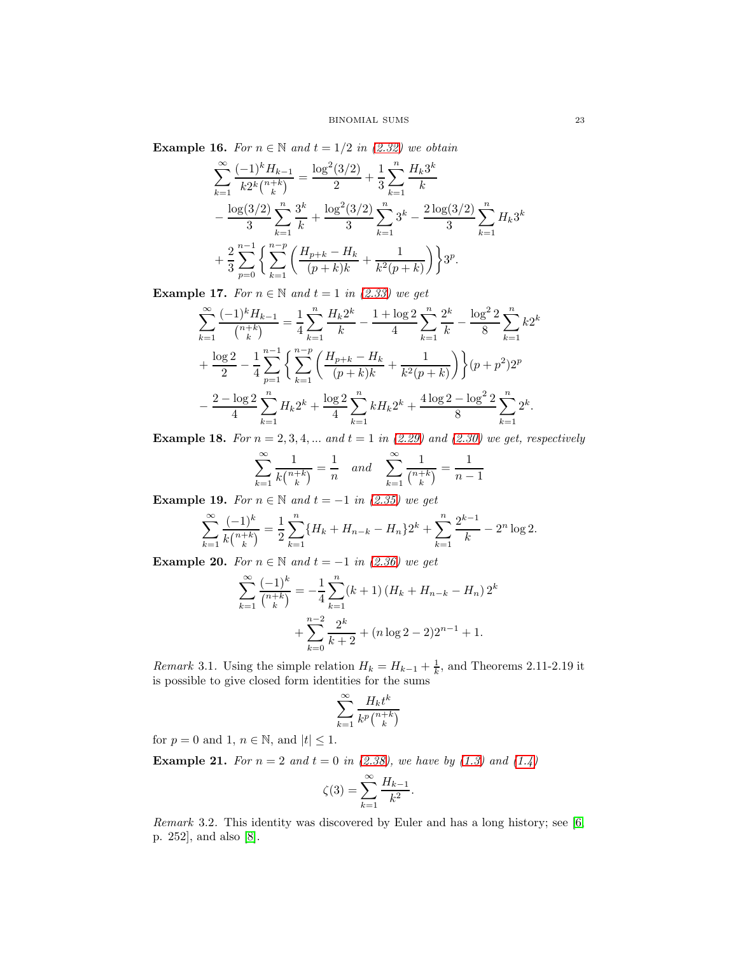**Example 16.** For  $n \in \mathbb{N}$  and  $t = 1/2$  in [\(2.32\)](#page-16-1) we obtain

$$
\sum_{k=1}^{\infty} \frac{(-1)^k H_{k-1}}{k2^k {n+k \choose k}} = \frac{\log^2(3/2)}{2} + \frac{1}{3} \sum_{k=1}^n \frac{H_k 3^k}{k}
$$
  

$$
- \frac{\log(3/2)}{3} \sum_{k=1}^n \frac{3^k}{k} + \frac{\log^2(3/2)}{3} \sum_{k=1}^n 3^k - \frac{2 \log(3/2)}{3} \sum_{k=1}^n H_k 3^k
$$
  

$$
+ \frac{2}{3} \sum_{p=0}^{n-1} \left\{ \sum_{k=1}^{n-p} \left( \frac{H_{p+k} - H_k}{(p+k)k} + \frac{1}{k^2(p+k)} \right) \right\} 3^p.
$$

Example 17. For  $n \in \mathbb{N}$  and  $t = 1$  in [\(2.33\)](#page-17-2) we get

$$
\sum_{k=1}^{\infty} \frac{(-1)^k H_{k-1}}{\binom{n+k}{k}} = \frac{1}{4} \sum_{k=1}^n \frac{H_k 2^k}{k} - \frac{1 + \log 2}{4} \sum_{k=1}^n \frac{2^k}{k} - \frac{\log^2 2}{8} \sum_{k=1}^n k 2^k
$$
  
+ 
$$
\frac{\log 2}{2} - \frac{1}{4} \sum_{p=1}^{n-1} \left\{ \sum_{k=1}^{n-p} \left( \frac{H_{p+k} - H_k}{(p+k)k} + \frac{1}{k^2 (p+k)} \right) \right\} (p+p^2) 2^p
$$
  
- 
$$
\frac{2 - \log 2}{4} \sum_{k=1}^n H_k 2^k + \frac{\log 2}{4} \sum_{k=1}^n k H_k 2^k + \frac{4 \log 2 - \log^2 2}{8} \sum_{k=1}^n 2^k.
$$

**Example 18.** For  $n = 2, 3, 4, ...$  and  $t = 1$  in [\(2.29\)](#page-15-1) and [\(2.30\)](#page-15-2) we get, respectively

$$
\sum_{k=1}^{\infty} \frac{1}{k {n+k \choose k}} = \frac{1}{n} \quad and \quad \sum_{k=1}^{\infty} \frac{1}{n+k \choose k} = \frac{1}{n-1}
$$

Example 19. For  $n \in \mathbb{N}$  and  $t = -1$  in [\(2.35\)](#page-17-0) we get

$$
\sum_{k=1}^{\infty} \frac{(-1)^k}{k {n+k \choose k}} = \frac{1}{2} \sum_{k=1}^{n} \{H_k + H_{n-k} - H_n\} 2^k + \sum_{k=1}^{n} \frac{2^{k-1}}{k} - 2^n \log 2.
$$

Example 20. For  $n \in \mathbb{N}$  and  $t = -1$  in [\(2.36\)](#page-17-3) we get

$$
\sum_{k=1}^{\infty} \frac{(-1)^k}{\binom{n+k}{k}} = -\frac{1}{4} \sum_{k=1}^n (k+1) \left( H_k + H_{n-k} - H_n \right) 2^k + \sum_{k=0}^{n-2} \frac{2^k}{k+2} + (n \log 2 - 2) 2^{n-1} + 1.
$$

*Remark* 3.1. Using the simple relation  $H_k = H_{k-1} + \frac{1}{k}$ , and Theorems 2.11-2.19 it is possible to give closed form identities for the sums

$$
\sum_{k=1}^{\infty} \frac{H_k t^k}{k^p \binom{n+k}{k}}
$$

for  $p = 0$  and 1,  $n \in \mathbb{N}$ , and  $|t| \leq 1$ .

**Example 21.** For  $n = 2$  and  $t = 0$  in [\(2.38\)](#page-18-0), we have by [\(1.3\)](#page-0-0) and [\(1.4\)](#page-1-2)

$$
\zeta(3) = \sum_{k=1}^{\infty} \frac{H_{k-1}}{k^2}.
$$

Remark 3.2. This identity was discovered by Euler and has a long history; see [\[6,](#page-24-20) p. 252], and also [\[8\]](#page-24-21).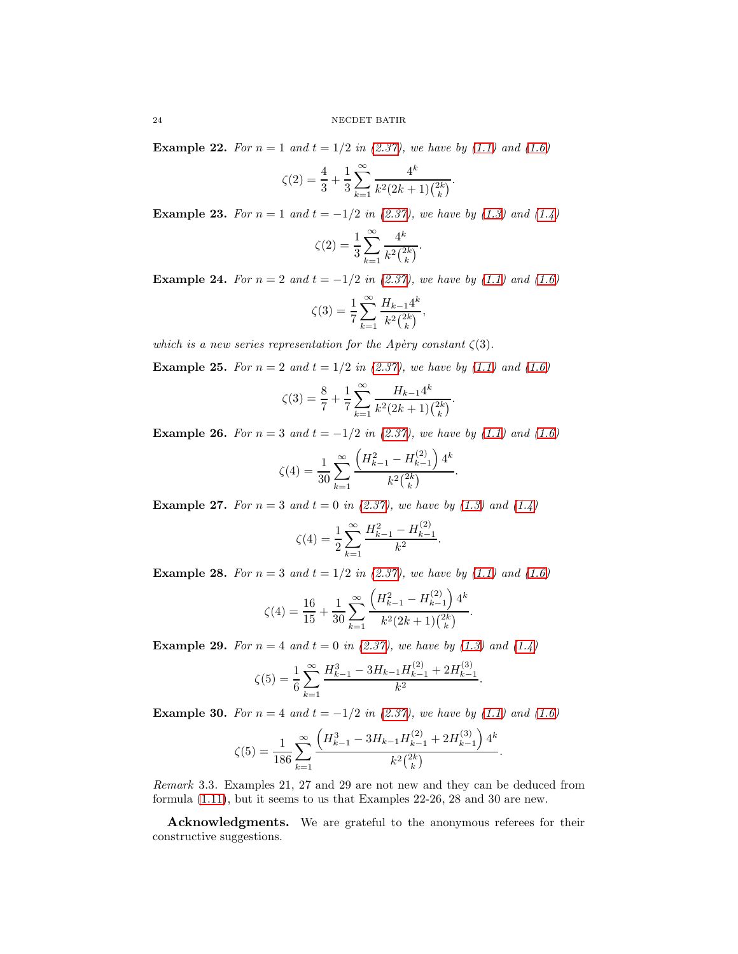**Example 22.** For  $n = 1$  and  $t = 1/2$  in [\(2.37\)](#page-18-2), we have by [\(1.1\)](#page-0-1) and [\(1.6\)](#page-1-1)

$$
\zeta(2) = \frac{4}{3} + \frac{1}{3} \sum_{k=1}^{\infty} \frac{4^k}{k^2 (2k+1) \binom{2k}{k}}.
$$

**Example 23.** For  $n = 1$  and  $t = -1/2$  in [\(2.37\)](#page-18-2), we have by [\(1.3\)](#page-0-0) and [\(1.4\)](#page-1-2)

$$
\zeta(2) = \frac{1}{3} \sum_{k=1}^{\infty} \frac{4^k}{k^2 {2k \choose k}}.
$$

**Example 24.** For  $n = 2$  and  $t = -1/2$  in [\(2.37\)](#page-18-2), we have by [\(1.1\)](#page-0-1) and [\(1.6\)](#page-1-1)

$$
\zeta(3) = \frac{1}{7} \sum_{k=1}^{\infty} \frac{H_{k-1} 4^k}{k^2 {2k \choose k}},
$$

which is a new series representation for the Apèry constant  $\zeta(3)$ .

**Example 25.** For  $n = 2$  and  $t = 1/2$  in [\(2.37\)](#page-18-2), we have by [\(1.1\)](#page-0-1) and [\(1.6\)](#page-1-1)

$$
\zeta(3) = \frac{8}{7} + \frac{1}{7} \sum_{k=1}^{\infty} \frac{H_{k-1}4^k}{k^2(2k+1)\binom{2k}{k}}.
$$

**Example 26.** For  $n = 3$  and  $t = -1/2$  in [\(2.37\)](#page-18-2), we have by [\(1.1\)](#page-0-1) and [\(1.6\)](#page-1-1)

$$
\zeta(4) = \frac{1}{30} \sum_{k=1}^{\infty} \frac{\left(H_{k-1}^2 - H_{k-1}^{(2)}\right) 4^k}{k^2 {2k \choose k}}.
$$

**Example 27.** For  $n = 3$  and  $t = 0$  in [\(2.37\)](#page-18-2), we have by [\(1.3\)](#page-0-0) and [\(1.4\)](#page-1-2)

$$
\zeta(4) = \frac{1}{2} \sum_{k=1}^{\infty} \frac{H_{k-1}^2 - H_{k-1}^{(2)}}{k^2}.
$$

**Example 28.** For  $n = 3$  and  $t = 1/2$  in [\(2.37\)](#page-18-2), we have by [\(1.1\)](#page-0-1) and [\(1.6\)](#page-1-1)

$$
\zeta(4) = \frac{16}{15} + \frac{1}{30} \sum_{k=1}^{\infty} \frac{\left(H_{k-1}^{2} - H_{k-1}^{(2)}\right) 4^{k}}{k^{2} (2k+1) \binom{2k}{k}}.
$$

**Example 29.** For  $n = 4$  and  $t = 0$  in [\(2.37\)](#page-18-2), we have by [\(1.3\)](#page-0-0) and [\(1.4\)](#page-1-2)

$$
\zeta(5) = \frac{1}{6} \sum_{k=1}^{\infty} \frac{H_{k-1}^3 - 3H_{k-1}H_{k-1}^{(2)} + 2H_{k-1}^{(3)}}{k^2}.
$$

**Example 30.** For  $n = 4$  and  $t = -1/2$  in [\(2.37\)](#page-18-2), we have by [\(1.1\)](#page-0-1) and [\(1.6\)](#page-1-1)

$$
\zeta(5) = \frac{1}{186} \sum_{k=1}^{\infty} \frac{\left(H_{k-1}^3 - 3H_{k-1}H_{k-1}^{(2)} + 2H_{k-1}^{(3)}\right)4^k}{k^2 {2k \choose k}}.
$$

Remark 3.3. Examples 21, 27 and 29 are not new and they can be deduced from formula [\(1.11\)](#page-3-3), but it seems to us that Examples 22-26, 28 and 30 are new.

Acknowledgments. We are grateful to the anonymous referees for their constructive suggestions.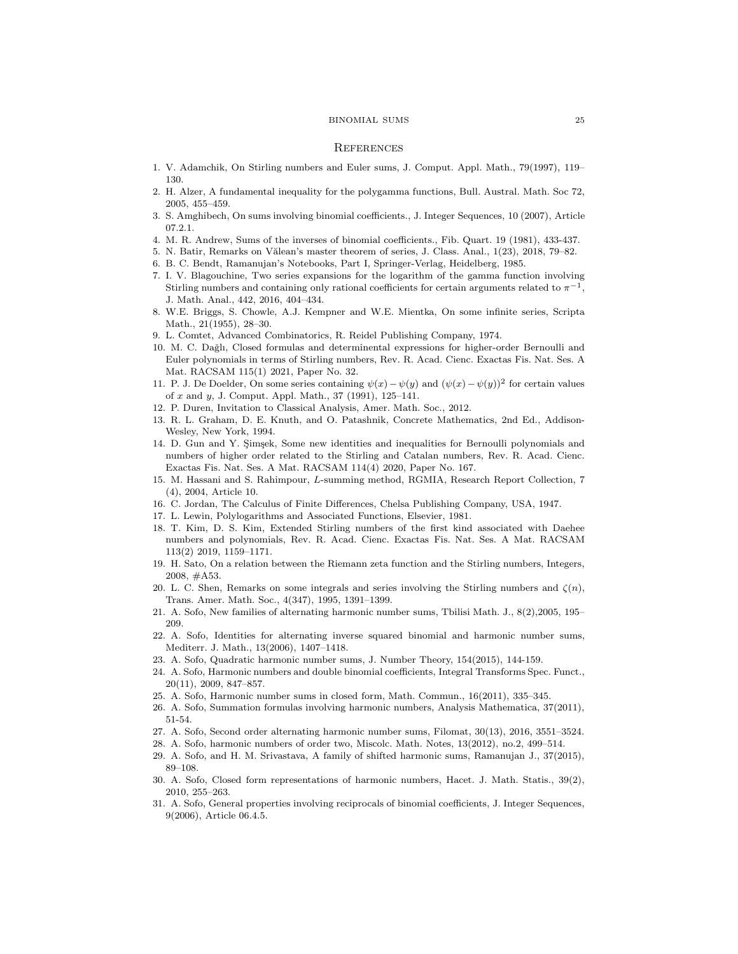#### BINOMIAL SUMS 25

#### **REFERENCES**

- <span id="page-24-14"></span>1. V. Adamchik, On Stirling numbers and Euler sums, J. Comput. Appl. Math., 79(1997), 119– 130.
- 2. H. Alzer, A fundamental inequality for the polygamma functions, Bull. Austral. Math. Soc 72, 2005, 455–459.
- <span id="page-24-18"></span>3. S. Amghibech, On sums involving binomial coefficients., J. Integer Sequences, 10 (2007), Article 07.2.1.
- <span id="page-24-16"></span>4. M. R. Andrew, Sums of the inverses of binomial coefficients., Fib. Quart. 19 (1981), 433-437.
- <span id="page-24-20"></span>5. N. Batir, Remarks on Vălean's master theorem of series, J. Class. Anal.,  $1(23)$ ,  $2018$ ,  $79-82$ .
- <span id="page-24-15"></span>6. B. C. Bendt, Ramanujan's Notebooks, Part I, Springer-Verlag, Heidelberg, 1985.
- 7. I. V. Blagouchine, Two series expansions for the logarithm of the gamma function involving Stirling numbers and containing only rational coefficients for certain arguments related to  $\pi^{-1}$ , J. Math. Anal., 442, 2016, 404–434.
- <span id="page-24-21"></span>8. W.E. Briggs, S. Chowle, A.J. Kempner and W.E. Mientka, On some infinite series, Scripta Math., 21(1955), 28–30.
- <span id="page-24-5"></span><span id="page-24-4"></span>9. L. Comtet, Advanced Combinatorics, R. Reidel Publishing Company, 1974.
- 10. M. C. Dağlı, Closed formulas and determinental expressions for higher-order Bernoulli and Euler polynomials in terms of Stirling numbers, Rev. R. Acad. Cienc. Exactas Fis. Nat. Ses. A Mat. RACSAM 115(1) 2021, Paper No. 32.
- <span id="page-24-17"></span>11. P. J. De Doelder, On some series containing  $\psi(x) - \psi(y)$  and  $(\psi(x) - \psi(y))^2$  for certain values of x and y, J. Comput. Appl. Math., 37 (1991), 125–141.
- <span id="page-24-19"></span><span id="page-24-1"></span>12. P. Duren, Invitation to Classical Analysis, Amer. Math. Soc., 2012.
- 13. R. L. Graham, D. E. Knuth, and O. Patashnik, Concrete Mathematics, 2nd Ed., Addison-Wesley, New York, 1994.
- <span id="page-24-6"></span>14. D. Gun and Y. Şimşek, Some new identities and inequalities for Bernoulli polynomials and numbers of higher order related to the Stirling and Catalan numbers, Rev. R. Acad. Cienc. Exactas Fis. Nat. Ses. A Mat. RACSAM 114(4) 2020, Paper No. 167.
- 15. M. Hassani and S. Rahimpour, L-summing method, RGMIA, Research Report Collection, 7 (4), 2004, Article 10.
- <span id="page-24-12"></span><span id="page-24-8"></span>16. C. Jordan, The Calculus of Finite Differences, Chelsa Publishing Company, USA, 1947.
- <span id="page-24-7"></span>17. L. Lewin, Polylogarithms and Associated Functions, Elsevier, 1981.
- 18. T. Kim, D. S. Kim, Extended Stirling numbers of the first kind associated with Daehee numbers and polynomials, Rev. R. Acad. Cienc. Exactas Fis. Nat. Ses. A Mat. RACSAM 113(2) 2019, 1159–1171.
- <span id="page-24-0"></span>19. H. Sato, On a relation between the Riemann zeta function and the Stirling numbers, Integers, 2008, #A53.
- <span id="page-24-13"></span>20. L. C. Shen, Remarks on some integrals and series involving the Stirling numbers and  $\zeta(n)$ , Trans. Amer. Math. Soc., 4(347), 1995, 1391–1399.
- <span id="page-24-11"></span>21. A. Sofo, New families of alternating harmonic number sums, Tbilisi Math. J., 8(2),2005, 195– 209.
- 22. A. Sofo, Identities for alternating inverse squared binomial and harmonic number sums, Mediterr. J. Math., 13(2006), 1407–1418.
- <span id="page-24-10"></span><span id="page-24-9"></span>23. A. Sofo, Quadratic harmonic number sums, J. Number Theory, 154(2015), 144-159.
- 24. A. Sofo, Harmonic numbers and double binomial coefficients, Integral Transforms Spec. Funct., 20(11), 2009, 847–857.
- 25. A. Sofo, Harmonic number sums in closed form, Math. Commun., 16(2011), 335–345.
- 26. A. Sofo, Summation formulas involving harmonic numbers, Analysis Mathematica, 37(2011), 51-54.
- <span id="page-24-3"></span>27. A. Sofo, Second order alternating harmonic number sums, Filomat, 30(13), 2016, 3551–3524.
- 28. A. Sofo, harmonic numbers of order two, Miscolc. Math. Notes, 13(2012), no.2, 499–514.
- 29. A. Sofo, and H. M. Srivastava, A family of shifted harmonic sums, Ramanujan J., 37(2015), 89–108.
- 30. A. Sofo, Closed form representations of harmonic numbers, Hacet. J. Math. Statis., 39(2), 2010, 255–263.
- <span id="page-24-2"></span>31. A. Sofo, General properties involving reciprocals of binomial coefficients, J. Integer Sequences, 9(2006), Article 06.4.5.